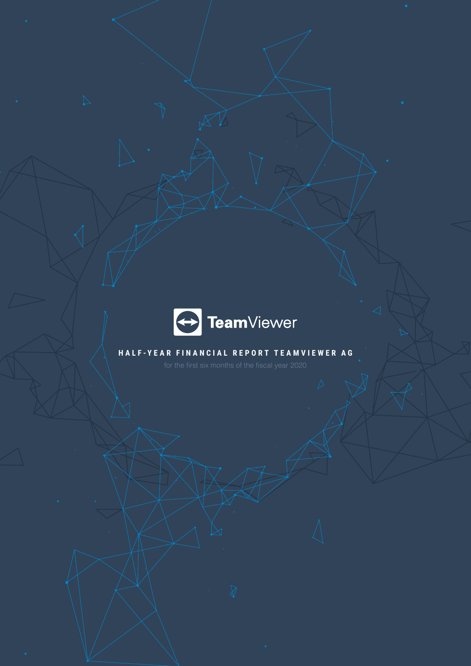

## **HALF-YEAR FINANCIAL REPORT TEAMVIEWER AG**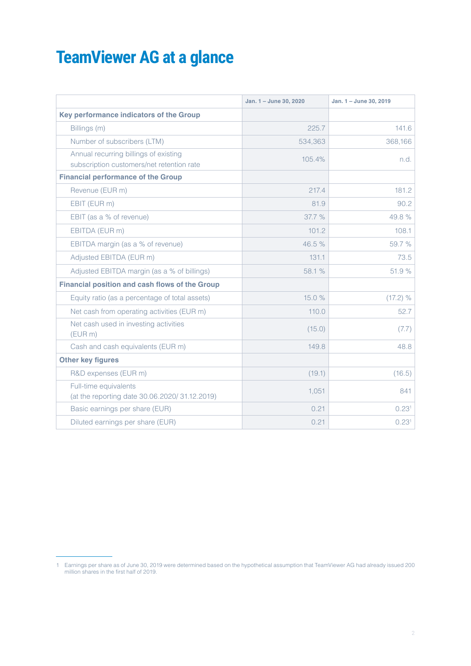# <span id="page-1-0"></span>**TeamViewer AG at a glance**

|                                                                                    | Jan. 1 - June 30, 2020 | Jan. 1 - June 30, 2019 |
|------------------------------------------------------------------------------------|------------------------|------------------------|
| Key performance indicators of the Group                                            |                        |                        |
| Billings (m)                                                                       | 225.7                  | 141.6                  |
| Number of subscribers (LTM)                                                        | 534.363                | 368.166                |
| Annual recurring billings of existing<br>subscription customers/net retention rate | 105.4%                 | n.d.                   |
| <b>Financial performance of the Group</b>                                          |                        |                        |
| Revenue (EUR m)                                                                    | 217.4                  | 181.2                  |
| EBIT (EUR m)                                                                       | 81.9                   | 90.2                   |
| EBIT (as a % of revenue)                                                           | 37.7 %                 | 49.8%                  |
| EBITDA (EUR m)                                                                     | 101.2                  | 108.1                  |
| EBITDA margin (as a % of revenue)                                                  | 46.5 %                 | 59.7 %                 |
| Adjusted EBITDA (EUR m)                                                            | 131.1                  | 73.5                   |
| Adjusted EBITDA margin (as a % of billings)                                        | 58.1 %                 | 51.9%                  |
| Financial position and cash flows of the Group                                     |                        |                        |
| Equity ratio (as a percentage of total assets)                                     | 15.0%                  | (17.2) %               |
| Net cash from operating activities (EUR m)                                         | 110.0                  | 52.7                   |
| Net cash used in investing activities<br>(EURm)                                    | (15.0)                 | (7.7)                  |
| Cash and cash equivalents (EUR m)                                                  | 149.8                  | 48.8                   |
| <b>Other key figures</b>                                                           |                        |                        |
| R&D expenses (EUR m)                                                               | (19.1)                 | (16.5)                 |
| Full-time equivalents<br>(at the reporting date 30.06.2020/31.12.2019)             | 1,051                  | 841                    |
| Basic earnings per share (EUR)                                                     | 0.21                   | 0.23 <sup>1</sup>      |
| Diluted earnings per share (EUR)                                                   | 0.21                   | 0.23 <sup>1</sup>      |

<sup>1</sup> Earnings per share as of June 30, 2019 were determined based on the hypothetical assumption that TeamViewer AG had already issued 200 million shares in the first half of 2019.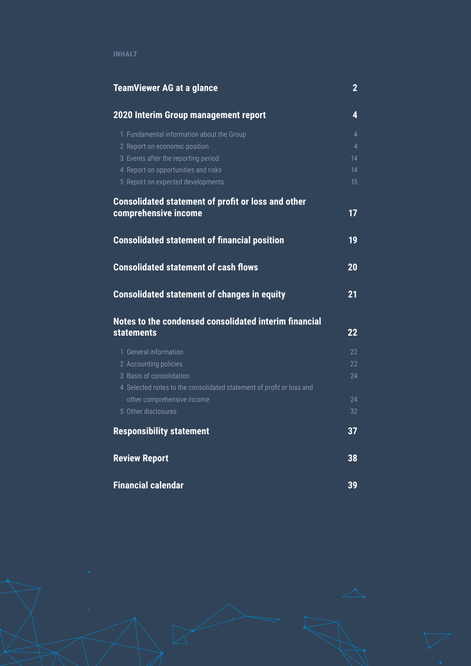## **INHALT**

| <b>TeamViewer AG at a glance</b>                                                  | $\overline{\mathbf{c}}$  |
|-----------------------------------------------------------------------------------|--------------------------|
| 2020 Interim Group management report                                              | 4                        |
| 1 Fundamental information about the Group<br>2 Report on economic position        | 4<br>$\overline{4}$      |
| 3 Events after the reporting period                                               | 14                       |
| 4 Report on opportunities and risks                                               | 14                       |
| 5 Report on expected developments                                                 | 15                       |
| <b>Consolidated statement of profit or loss and other</b><br>comprehensive income | 17                       |
| <b>Consolidated statement of financial position</b>                               | 19                       |
| <b>Consolidated statement of cash flows</b>                                       | 20                       |
| <b>Consolidated statement of changes in equity</b>                                | 21                       |
| Notes to the condensed consolidated interim financial<br><b>statements</b>        | $\overline{\mathbf{22}}$ |
| 1 General information                                                             | 22                       |
| 2 Accounting policies                                                             | 22                       |
| 3 Basis of consolidation                                                          | 24                       |
| 4 Selected notes to the consolidated statement of profit or loss and              |                          |
| other comprehensive income<br>5 Other disclosures                                 | 24<br>32                 |
|                                                                                   |                          |
| <b>Responsibility statement</b>                                                   | 37                       |
| <b>Review Report</b>                                                              | 38                       |
| <b>Financial calendar</b>                                                         | 39                       |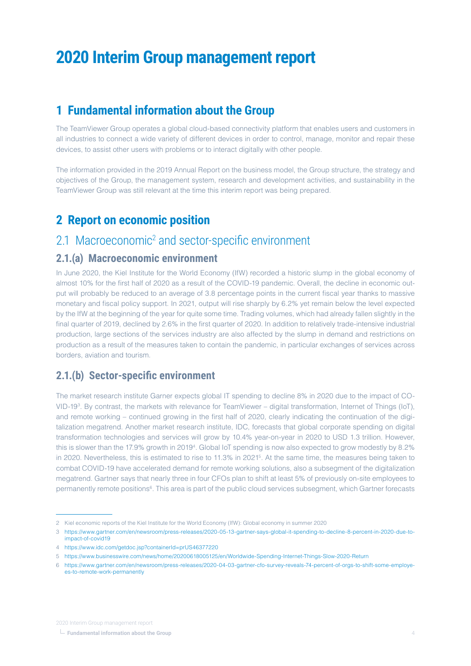# <span id="page-3-0"></span>**2020 Interim Group management report**

## **1 Fundamental information about the Group**

The TeamViewer Group operates a global cloud-based connectivity platform that enables users and customers in all industries to connect a wide variety of different devices in order to control, manage, monitor and repair these devices, to assist other users with problems or to interact digitally with other people.

The information provided in the 2019 Annual Report on the business model, the Group structure, the strategy and objectives of the Group, the management system, research and development activities, and sustainability in the TeamViewer Group was still relevant at the time this interim report was being prepared.

## **2 Report on economic position**

### 2.1 Macroeconomic<sup>2</sup> and sector-specific environment

### **2.1.(a) Macroeconomic environment**

In June 2020, the Kiel Institute for the World Economy (IfW) recorded a historic slump in the global economy of almost 10% for the first half of 2020 as a result of the COVID-19 pandemic. Overall, the decline in economic output will probably be reduced to an average of 3.8 percentage points in the current fiscal year thanks to massive monetary and fiscal policy support. In 2021, output will rise sharply by 6.2% yet remain below the level expected by the IfW at the beginning of the year for quite some time. Trading volumes, which had already fallen slightly in the final quarter of 2019, declined by 2.6% in the first quarter of 2020. In addition to relatively trade-intensive industrial production, large sections of the services industry are also affected by the slump in demand and restrictions on production as a result of the measures taken to contain the pandemic, in particular exchanges of services across borders, aviation and tourism.

### **2.1.(b) Sector-specific environment**

The market research institute Garner expects global IT spending to decline 8% in 2020 due to the impact of CO-VID-193. By contrast, the markets with relevance for TeamViewer – digital transformation, Internet of Things (IoT), and remote working – continued growing in the first half of 2020, clearly indicating the continuation of the digitalization megatrend. Another market research institute, IDC, forecasts that global corporate spending on digital transformation technologies and services will grow by 10.4% year-on-year in 2020 to USD 1.3 trillion. However, this is slower than the 17.9% growth in 2019<sup>4</sup> . Global IoT spending is now also expected to grow modestly by 8.2% in 2020. Nevertheless, this is estimated to rise to 11.3% in 20215. At the same time, the measures being taken to combat COVID-19 have accelerated demand for remote working solutions, also a subsegment of the digitalization megatrend. Gartner says that nearly three in four CFOs plan to shift at least 5% of previously on-site employees to permanently remote positions<sup>6</sup>. This area is part of the public cloud services subsegment, which Gartner forecasts

<sup>2</sup> Kiel economic reports of the Kiel Institute for the World Economy (IfW): Global economy in summer 2020

<sup>3</sup> [https://www.gartner.com/en/newsroom/press-releases/2020-05-13-gartner-says-global-it-spending-to-decline-8-percent-in-2020-due-to](https://www.gartner.com/en/newsroom/press-releases/2020-05-13-gartner-says-global-it-spending-to-decline-8-percent-in-2020-due-to-impact-of-covid19)[impact-of-covid19](https://www.gartner.com/en/newsroom/press-releases/2020-05-13-gartner-says-global-it-spending-to-decline-8-percent-in-2020-due-to-impact-of-covid19)

<sup>4</sup> <https://www.idc.com/getdoc.jsp?containerId=prUS46377220>

<sup>5</sup> <https://www.businesswire.com/news/home/20200618005125/en/Worldwide-Spending-Internet-Things-Slow-2020-Return>

<sup>6</sup> [https://www.gartner.com/en/newsroom/press-releases/2020-04-03-gartner-cfo-survey-reveals-74-percent-of-orgs-to-shift-some-employe](https://www.gartner.com/en/newsroom/press-releases/2020-04-03-gartner-cfo-survey-reveals-74-percent-of-orgs-to-shift-some-employees-to-remote-work-permanently)[es-to-remote-work-permanently](https://www.gartner.com/en/newsroom/press-releases/2020-04-03-gartner-cfo-survey-reveals-74-percent-of-orgs-to-shift-some-employees-to-remote-work-permanently)

<sup>2020</sup> Interim Group management report

**Fundamental information about the Group**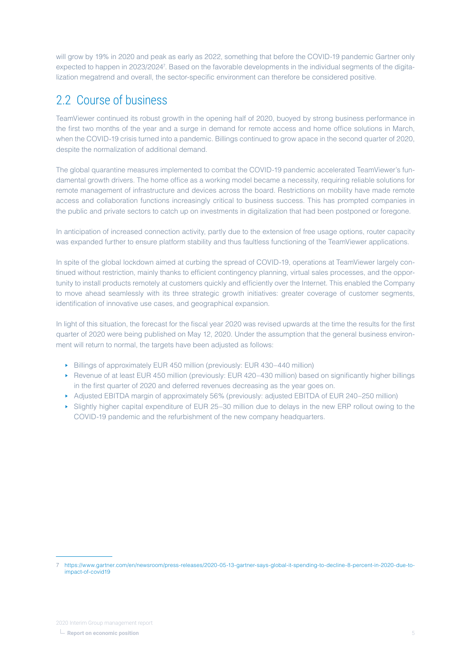will grow by 19% in 2020 and peak as early as 2022, something that before the COVID-19 pandemic Gartner only expected to happen in 2023/2024<sup>7</sup>. Based on the favorable developments in the individual segments of the digitalization megatrend and overall, the sector-specific environment can therefore be considered positive.

## 2.2 Course of business

TeamViewer continued its robust growth in the opening half of 2020, buoyed by strong business performance in the first two months of the year and a surge in demand for remote access and home office solutions in March, when the COVID-19 crisis turned into a pandemic. Billings continued to grow apace in the second quarter of 2020, despite the normalization of additional demand.

The global quarantine measures implemented to combat the COVID-19 pandemic accelerated TeamViewer's fundamental growth drivers. The home office as a working model became a necessity, requiring reliable solutions for remote management of infrastructure and devices across the board. Restrictions on mobility have made remote access and collaboration functions increasingly critical to business success. This has prompted companies in the public and private sectors to catch up on investments in digitalization that had been postponed or foregone.

In anticipation of increased connection activity, partly due to the extension of free usage options, router capacity was expanded further to ensure platform stability and thus faultless functioning of the TeamViewer applications.

In spite of the global lockdown aimed at curbing the spread of COVID-19, operations at TeamViewer largely continued without restriction, mainly thanks to efficient contingency planning, virtual sales processes, and the opportunity to install products remotely at customers quickly and efficiently over the Internet. This enabled the Company to move ahead seamlessly with its three strategic growth initiatives: greater coverage of customer segments, identification of innovative use cases, and geographical expansion.

In light of this situation, the forecast for the fiscal year 2020 was revised upwards at the time the results for the first quarter of 2020 were being published on May 12, 2020. Under the assumption that the general business environment will return to normal, the targets have been adjusted as follows:

- ‣ Billings of approximately EUR 450 million (previously: EUR 430–440 million)
- ▶ Revenue of at least EUR 450 million (previously: EUR 420–430 million) based on significantly higher billings in the first quarter of 2020 and deferred revenues decreasing as the year goes on.
- ‣ Adjusted EBITDA margin of approximately 56% (previously: adjusted EBITDA of EUR 240–250 million)
- ‣ Slightly higher capital expenditure of EUR 25–30 million due to delays in the new ERP rollout owing to the COVID-19 pandemic and the refurbishment of the new company headquarters.

<sup>7</sup> [https://www.gartner.com/en/newsroom/press-releases/2020-05-13-gartner-says-global-it-spending-to-decline-8-percent-in-2020-due-to](https://www.gartner.com/en/newsroom/press-releases/2020-05-13-gartner-says-global-it-spending-to-decline-8-percent-in-2020-due-to-impact-of-covid19)[impact-of-covid19](https://www.gartner.com/en/newsroom/press-releases/2020-05-13-gartner-says-global-it-spending-to-decline-8-percent-in-2020-due-to-impact-of-covid19)

**Report on economic position**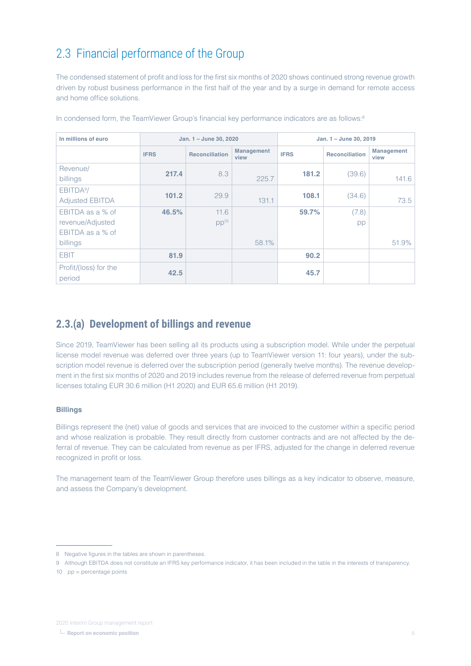# 2.3 Financial performance of the Group

The condensed statement of profit and loss for the first six months of 2020 shows continued strong revenue growth driven by robust business performance in the first half of the year and by a surge in demand for remote access and home office solutions.

| In millions of euro                                                  | Jan. 1 - June 30, 2020 |                       |                           | Jan. 1 - June 30, 2019 |                       |                           |
|----------------------------------------------------------------------|------------------------|-----------------------|---------------------------|------------------------|-----------------------|---------------------------|
|                                                                      | <b>IFRS</b>            | <b>Reconciliation</b> | <b>Management</b><br>view | <b>IFRS</b>            | <b>Reconciliation</b> | <b>Management</b><br>view |
| Revenue/<br>billings                                                 | 217.4                  | 8.3                   | 225.7                     | 181.2                  | (39.6)                | 141.6                     |
| EBITDA <sup>9</sup> /<br><b>Adjusted EBITDA</b>                      | 101.2                  | 29.9                  | 131.1                     | 108.1                  | (34.6)                | 73.5                      |
| EBITDA as a % of<br>revenue/Adjusted<br>EBITDA as a % of<br>billings | 46.5%                  | 11.6<br>$pp^{10}$     | 58.1%                     | 59.7%                  | (7.8)<br>pp           | 51.9%                     |
| <b>EBIT</b>                                                          | 81.9                   |                       |                           | 90.2                   |                       |                           |
| Profit/(loss) for the<br>period                                      | 42.5                   |                       |                           | 45.7                   |                       |                           |

In condensed form, the TeamViewer Group's financial key performance indicators are as follows:<sup>8</sup>

### **2.3.(a) Development of billings and revenue**

Since 2019, TeamViewer has been selling all its products using a subscription model. While under the perpetual license model revenue was deferred over three years (up to TeamViewer version 11: four years), under the subscription model revenue is deferred over the subscription period (generally twelve months). The revenue development in the first six months of 2020 and 2019 includes revenue from the release of deferred revenue from perpetual licenses totaling EUR 30.6 million (H1 2020) and EUR 65.6 million (H1 2019).

#### **Billings**

Billings represent the (net) value of goods and services that are invoiced to the customer within a specific period and whose realization is probable. They result directly from customer contracts and are not affected by the deferral of revenue. They can be calculated from revenue as per IFRS, adjusted for the change in deferred revenue recognized in profit or loss.

The management team of the TeamViewer Group therefore uses billings as a key indicator to observe, measure, and assess the Company's development.

<sup>8</sup> Negative figures in the tables are shown in parentheses.

<sup>9</sup> Although EBITDA does not constitute an IFRS key performance indicator, it has been included in the table in the interests of transparency.

<sup>10</sup> pp = percentage points

**Report on economic position**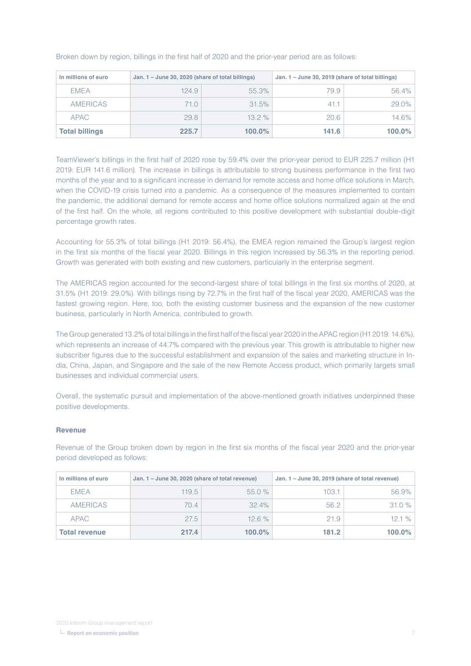| In millions of euro   | Jan. 1 - June 30, 2020 (share of total billings) |           | Jan. 1 – June 30, 2019 (share of total billings) |        |
|-----------------------|--------------------------------------------------|-----------|--------------------------------------------------|--------|
| <b>EMEA</b>           | 124.9                                            | 55.3%     | 79.9                                             | 56.4%  |
| <b>AMERICAS</b>       | 71.0                                             | 31.5%     | 41.1                                             | 29.0%  |
| <b>APAC</b>           | 29.8                                             | $13.2\%$  | 20.6                                             | 14.6%  |
| <b>Total billings</b> | 225.7                                            | $100.0\%$ | 141.6                                            | 100.0% |

Broken down by region, billings in the first half of 2020 and the prior-year period are as follows:

TeamViewer's billings in the first half of 2020 rose by 59.4% over the prior-year period to EUR 225.7 million (H1 2019: EUR 141.6 million). The increase in billings is attributable to strong business performance in the first two months of the year and to a significant increase in demand for remote access and home office solutions in March, when the COVID-19 crisis turned into a pandemic. As a consequence of the measures implemented to contain the pandemic, the additional demand for remote access and home office solutions normalized again at the end of the first half. On the whole, all regions contributed to this positive development with substantial double-digit percentage growth rates.

Accounting for 55.3% of total billings (H1 2019: 56.4%), the EMEA region remained the Group's largest region in the first six months of the fiscal year 2020. Billings in this region increased by 56.3% in the reporting period. Growth was generated with both existing and new customers, particularly in the enterprise segment.

The AMERICAS region accounted for the second-largest share of total billings in the first six months of 2020, at 31.5% (H1 2019: 29.0%). With billings rising by 72.7% in the first half of the fiscal year 2020, AMERICAS was the fastest growing region. Here, too, both the existing customer business and the expansion of the new customer business, particularly in North America, contributed to growth.

The Group generated 13.2% of total billings in the first half of the fiscal year 2020 in the APAC region (H1 2019: 14.6%), which represents an increase of 44.7% compared with the previous year. This growth is attributable to higher new subscriber figures due to the successful establishment and expansion of the sales and marketing structure in India, China, Japan, and Singapore and the sale of the new Remote Access product, which primarily targets small businesses and individual commercial users.

Overall, the systematic pursuit and implementation of the above-mentioned growth initiatives underpinned these positive developments.

#### **Revenue**

Revenue of the Group broken down by region in the first six months of the fiscal year 2020 and the prior-year period developed as follows:

| In millions of euro  | Jan. 1 – June 30, 2019 (share of total revenue)<br>Jan. 1 - June 30, 2020 (share of total revenue) |           |       |        |
|----------------------|----------------------------------------------------------------------------------------------------|-----------|-------|--------|
| <b>FMFA</b>          | 119.5                                                                                              | 55.0%     | 103.1 | 56.9%  |
| <b>AMERICAS</b>      | 70.4                                                                                               | 32.4%     | 56.2  | 31.0%  |
| <b>APAC</b>          | 27.5                                                                                               | 12.6%     | 21.9  | 12.1%  |
| <b>Total revenue</b> | 217.4                                                                                              | $100.0\%$ | 181.2 | 100.0% |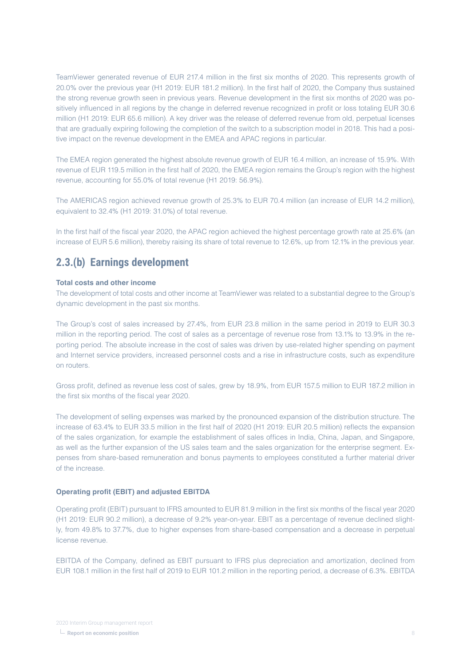TeamViewer generated revenue of EUR 217.4 million in the first six months of 2020. This represents growth of 20.0% over the previous year (H1 2019: EUR 181.2 million). In the first half of 2020, the Company thus sustained the strong revenue growth seen in previous years. Revenue development in the first six months of 2020 was positively influenced in all regions by the change in deferred revenue recognized in profit or loss totaling EUR 30.6 million (H1 2019: EUR 65.6 million). A key driver was the release of deferred revenue from old, perpetual licenses that are gradually expiring following the completion of the switch to a subscription model in 2018. This had a positive impact on the revenue development in the EMEA and APAC regions in particular.

The EMEA region generated the highest absolute revenue growth of EUR 16.4 million, an increase of 15.9%. With revenue of EUR 119.5 million in the first half of 2020, the EMEA region remains the Group's region with the highest revenue, accounting for 55.0% of total revenue (H1 2019: 56.9%).

The AMERICAS region achieved revenue growth of 25.3% to EUR 70.4 million (an increase of EUR 14.2 million), equivalent to 32.4% (H1 2019: 31.0%) of total revenue.

In the first half of the fiscal year 2020, the APAC region achieved the highest percentage growth rate at 25.6% (an increase of EUR 5.6 million), thereby raising its share of total revenue to 12.6%, up from 12.1% in the previous year.

### **2.3.(b) Earnings development**

### **Total costs and other income**

The development of total costs and other income at TeamViewer was related to a substantial degree to the Group's dynamic development in the past six months.

The Group's cost of sales increased by 27.4%, from EUR 23.8 million in the same period in 2019 to EUR 30.3 million in the reporting period. The cost of sales as a percentage of revenue rose from 13.1% to 13.9% in the reporting period. The absolute increase in the cost of sales was driven by use-related higher spending on payment and Internet service providers, increased personnel costs and a rise in infrastructure costs, such as expenditure on routers.

Gross profit, defined as revenue less cost of sales, grew by 18.9%, from EUR 157.5 million to EUR 187.2 million in the first six months of the fiscal year 2020.

The development of selling expenses was marked by the pronounced expansion of the distribution structure. The increase of 63.4% to EUR 33.5 million in the first half of 2020 (H1 2019: EUR 20.5 million) reflects the expansion of the sales organization, for example the establishment of sales offices in India, China, Japan, and Singapore, as well as the further expansion of the US sales team and the sales organization for the enterprise segment. Expenses from share-based remuneration and bonus payments to employees constituted a further material driver of the increase.

### **Operating profit (EBIT) and adjusted EBITDA**

Operating profit (EBIT) pursuant to IFRS amounted to EUR 81.9 million in the first six months of the fiscal year 2020 (H1 2019: EUR 90.2 million), a decrease of 9.2% year-on-year. EBIT as a percentage of revenue declined slightly, from 49.8% to 37.7%, due to higher expenses from share-based compensation and a decrease in perpetual license revenue.

EBITDA of the Company, defined as EBIT pursuant to IFRS plus depreciation and amortization, declined from EUR 108.1 million in the first half of 2019 to EUR 101.2 million in the reporting period, a decrease of 6.3%. EBITDA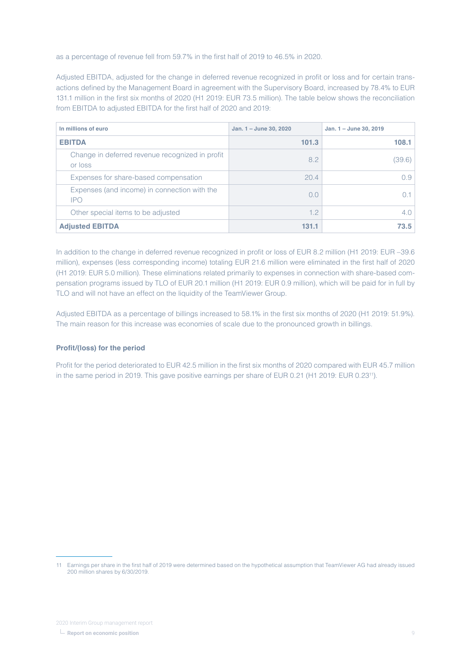as a percentage of revenue fell from 59.7% in the first half of 2019 to 46.5% in 2020.

Adjusted EBITDA, adjusted for the change in deferred revenue recognized in profit or loss and for certain transactions defined by the Management Board in agreement with the Supervisory Board, increased by 78.4% to EUR 131.1 million in the first six months of 2020 (H1 2019: EUR 73.5 million). The table below shows the reconciliation from EBITDA to adjusted EBITDA for the first half of 2020 and 2019:

| In millions of euro                                        | Jan. 1 - June 30, 2020 | Jan. 1 - June 30, 2019 |
|------------------------------------------------------------|------------------------|------------------------|
| <b>EBITDA</b>                                              | 101.3                  | 108.1                  |
| Change in deferred revenue recognized in profit<br>or loss | 8.2                    | (39.6)                 |
| Expenses for share-based compensation                      | 20.4                   | 0.9                    |
| Expenses (and income) in connection with the<br><b>IPO</b> | 0.0                    | ( )                    |
| Other special items to be adjusted                         | 1.2                    | 4.0                    |
| <b>Adjusted EBITDA</b>                                     | 131.1                  | 73.5                   |

In addition to the change in deferred revenue recognized in profit or loss of EUR 8.2 million (H1 2019: EUR –39.6 million), expenses (less corresponding income) totaling EUR 21.6 million were eliminated in the first half of 2020 (H1 2019: EUR 5.0 million). These eliminations related primarily to expenses in connection with share-based compensation programs issued by TLO of EUR 20.1 million (H1 2019: EUR 0.9 million), which will be paid for in full by TLO and will not have an effect on the liquidity of the TeamViewer Group.

Adjusted EBITDA as a percentage of billings increased to 58.1% in the first six months of 2020 (H1 2019: 51.9%). The main reason for this increase was economies of scale due to the pronounced growth in billings.

#### **Profit/(loss) for the period**

Profit for the period deteriorated to EUR 42.5 million in the first six months of 2020 compared with EUR 45.7 million in the same period in 2019. This gave positive earnings per share of EUR 0.21 (H1 2019: EUR 0.23<sup>11</sup>).

<sup>11</sup> Earnings per share in the first half of 2019 were determined based on the hypothetical assumption that TeamViewer AG had already issued 200 million shares by 6/30/2019.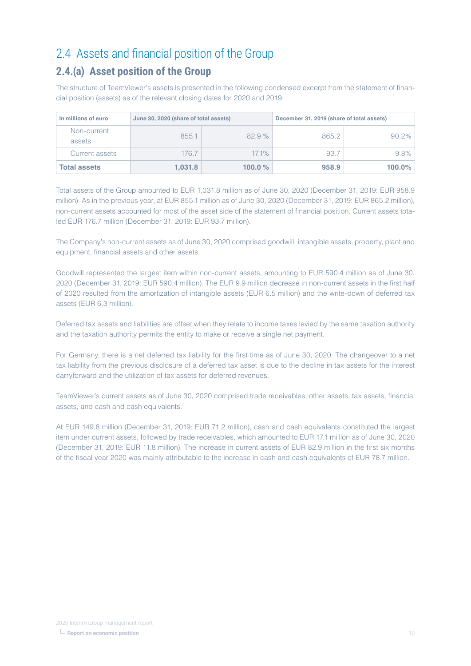# 2.4 Assets and financial position of the Group

## **2.4.(a) Asset position of the Group**

The structure of TeamViewer's assets is presented in the following condensed excerpt from the statement of financial position (assets) as of the relevant closing dates for 2020 and 2019:

| In millions of euro   | June 30, 2020 (share of total assets) |           | December 31, 2019 (share of total assets) |        |  |
|-----------------------|---------------------------------------|-----------|-------------------------------------------|--------|--|
| Non-current<br>assets | 855.1                                 | 82.9%     | 865.2                                     | 90.2%  |  |
| Current assets        | 176.7                                 | $17.1\%$  | 93.7                                      | 9.8%   |  |
| <b>Total assets</b>   | 1,031.8                               | 100.0 $%$ | 958.9                                     | 100.0% |  |

Total assets of the Group amounted to EUR 1,031.8 million as of June 30, 2020 (December 31, 2019: EUR 958.9 million). As in the previous year, at EUR 855.1 million as of June 30, 2020 (December 31, 2019: EUR 865.2 million), non-current assets accounted for most of the asset side of the statement of financial position. Current assets totaled EUR 176.7 million (December 31, 2019: EUR 93.7 million).

The Company's non-current assets as of June 30, 2020 comprised goodwill, intangible assets, property, plant and equipment, financial assets and other assets.

Goodwill represented the largest item within non-current assets, amounting to EUR 590.4 million as of June 30, 2020 (December 31, 2019: EUR 590.4 million). The EUR 9.9 million decrease in non-current assets in the first half of 2020 resulted from the amortization of intangible assets (EUR 6.5 million) and the write-down of deferred tax assets (EUR 6.3 million).

Deferred tax assets and liabilities are offset when they relate to income taxes levied by the same taxation authority and the taxation authority permits the entity to make or receive a single net payment.

For Germany, there is a net deferred tax liability for the first time as of June 30, 2020. The changeover to a net tax liability from the previous disclosure of a deferred tax asset is due to the decline in tax assets for the interest carryforward and the utilization of tax assets for deferred revenues.

TeamViewer's current assets as of June 30, 2020 comprised trade receivables, other assets, tax assets, financial assets, and cash and cash equivalents.

At EUR 149.8 million (December 31, 2019: EUR 71.2 million), cash and cash equivalents constituted the largest item under current assets, followed by trade receivables, which amounted to EUR 17.1 million as of June 30, 2020 (December 31, 2019: EUR 11.8 million). The increase in current assets of EUR 82.9 million in the first six months of the fiscal year 2020 was mainly attributable to the increase in cash and cash equivalents of EUR 78.7 million.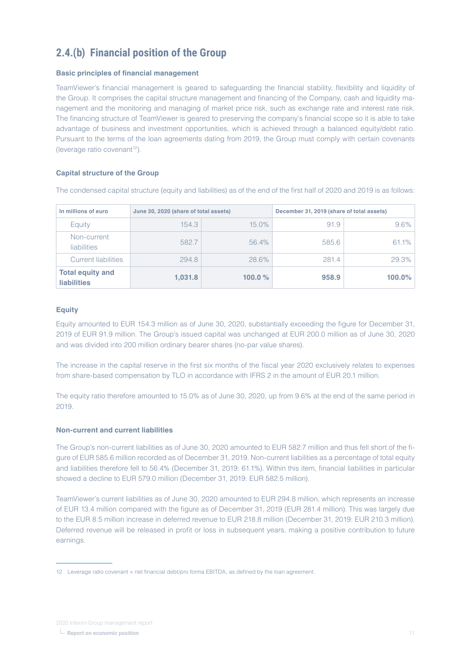## **2.4.(b) Financial position of the Group**

### **Basic principles of financial management**

TeamViewer's financial management is geared to safeguarding the financial stability, flexibility and liquidity of the Group. It comprises the capital structure management and financing of the Company, cash and liquidity management and the monitoring and managing of market price risk, such as exchange rate and interest rate risk. The financing structure of TeamViewer is geared to preserving the company's financial scope so it is able to take advantage of business and investment opportunities, which is achieved through a balanced equity/debt ratio. Pursuant to the terms of the loan agreements dating from 2019, the Group must comply with certain covenants (leverage ratio covenant $12$ ).

### **Capital structure of the Group**

The condensed capital structure (equity and liabilities) as of the end of the first half of 2020 and 2019 is as follows:

| June 30, 2020 (share of total assets)<br>In millions of euro |         | December 31, 2019 (share of total assets) |       |        |
|--------------------------------------------------------------|---------|-------------------------------------------|-------|--------|
| Equity                                                       | 154.3   | $15.0\%$                                  | 91.9  | 9.6%   |
| Non-current<br>liabilities                                   | 582.7   | 56.4%                                     | 585.6 | 61.1%  |
| <b>Current liabilities</b>                                   | 294.8   | 28.6%                                     | 281.4 | 29.3%  |
| <b>Total equity and</b><br><b>liabilities</b>                | 1,031.8 | 100.0 $%$                                 | 958.9 | 100.0% |

### **Equity**

Equity amounted to EUR 154.3 million as of June 30, 2020, substantially exceeding the figure for December 31, 2019 of EUR 91.9 million. The Group's issued capital was unchanged at EUR 200.0 million as of June 30, 2020 and was divided into 200 million ordinary bearer shares (no-par value shares).

The increase in the capital reserve in the first six months of the fiscal year 2020 exclusively relates to expenses from share-based compensation by TLO in accordance with IFRS 2 in the amount of EUR 20.1 million.

The equity ratio therefore amounted to 15.0% as of June 30, 2020, up from 9.6% at the end of the same period in 2019.

#### **Non-current and current liabilities**

The Group's non-current liabilities as of June 30, 2020 amounted to EUR 582.7 million and thus fell short of the figure of EUR 585.6 million recorded as of December 31, 2019. Non-current liabilities as a percentage of total equity and liabilities therefore fell to 56.4% (December 31, 2019: 61.1%). Within this item, financial liabilities in particular showed a decline to EUR 579.0 million (December 31, 2019: EUR 582.5 million).

TeamViewer's current liabilities as of June 30, 2020 amounted to EUR 294.8 million, which represents an increase of EUR 13.4 million compared with the figure as of December 31, 2019 (EUR 281.4 million). This was largely due to the EUR 8.5 million increase in deferred revenue to EUR 218.8 million (December 31, 2019: EUR 210.3 million). Deferred revenue will be released in profit or loss in subsequent years, making a positive contribution to future earnings.

<sup>12</sup> Leverage ratio covenant = net financial debt/pro forma EBITDA, as defined by the loan agreement.

**Report on economic position**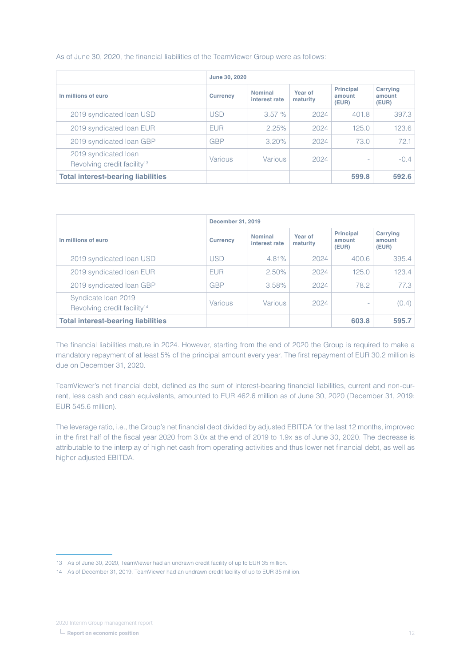As of June 30, 2020, the financial liabilities of the TeamViewer Group were as follows:

|                                                                 | June 30, 2020   |                                 |                     |                                     |                             |
|-----------------------------------------------------------------|-----------------|---------------------------------|---------------------|-------------------------------------|-----------------------------|
| In millions of euro                                             | <b>Currency</b> | <b>Nominal</b><br>interest rate | Year of<br>maturity | <b>Principal</b><br>amount<br>(EUR) | Carrying<br>amount<br>(EUR) |
| 2019 syndicated loan USD                                        | USD             | 3.57%                           | 2024                | 401.8                               | 397.3                       |
| 2019 syndicated Ioan EUR                                        | <b>EUR</b>      | 2.25%                           | 2024                | 125.0                               | 123.6                       |
| 2019 syndicated Ioan GBP                                        | <b>GBP</b>      | 3.20%                           | 2024                | 73.0                                | 72.1                        |
| 2019 syndicated loan<br>Revolving credit facility <sup>13</sup> | Various         | Various                         | 2024                | ٠                                   | $-0.4$                      |
| <b>Total interest-bearing liabilities</b>                       |                 |                                 |                     | 599.8                               | 592.6                       |

|                                                                | December 31, 2019 |                                 |                     |                                     |                             |  |
|----------------------------------------------------------------|-------------------|---------------------------------|---------------------|-------------------------------------|-----------------------------|--|
| In millions of euro                                            | <b>Currency</b>   | <b>Nominal</b><br>interest rate | Year of<br>maturity | <b>Principal</b><br>amount<br>(EUR) | Carrying<br>amount<br>(EUR) |  |
| 2019 syndicated Ioan USD                                       | <b>USD</b>        | 4.81%                           | 2024                | 400.6                               | 395.4                       |  |
| 2019 syndicated Ioan EUR                                       | <b>EUR</b>        | 2.50%                           | 2024                | 125.0                               | 123.4                       |  |
| 2019 syndicated Ioan GBP                                       | <b>GBP</b>        | 3.58%                           | 2024                | 78.2                                | 77.3                        |  |
| Syndicate Ioan 2019<br>Revolving credit facility <sup>14</sup> | Various           | <b>Various</b>                  | 2024                | -                                   | (0.4)                       |  |
| <b>Total interest-bearing liabilities</b>                      |                   |                                 |                     | 603.8                               | 595.7                       |  |

The financial liabilities mature in 2024. However, starting from the end of 2020 the Group is required to make a mandatory repayment of at least 5% of the principal amount every year. The first repayment of EUR 30.2 million is due on December 31, 2020.

TeamViewer's net financial debt, defined as the sum of interest-bearing financial liabilities, current and non-current, less cash and cash equivalents, amounted to EUR 462.6 million as of June 30, 2020 (December 31, 2019: EUR 545.6 million).

The leverage ratio, i.e., the Group's net financial debt divided by adjusted EBITDA for the last 12 months, improved in the first half of the fiscal year 2020 from 3.0x at the end of 2019 to 1.9x as of June 30, 2020. The decrease is attributable to the interplay of high net cash from operating activities and thus lower net financial debt, as well as higher adjusted EBITDA.

<sup>13</sup> As of June 30, 2020, TeamViewer had an undrawn credit facility of up to EUR 35 million.

<sup>14</sup> As of December 31, 2019, TeamViewer had an undrawn credit facility of up to EUR 35 million.

**Report on economic position**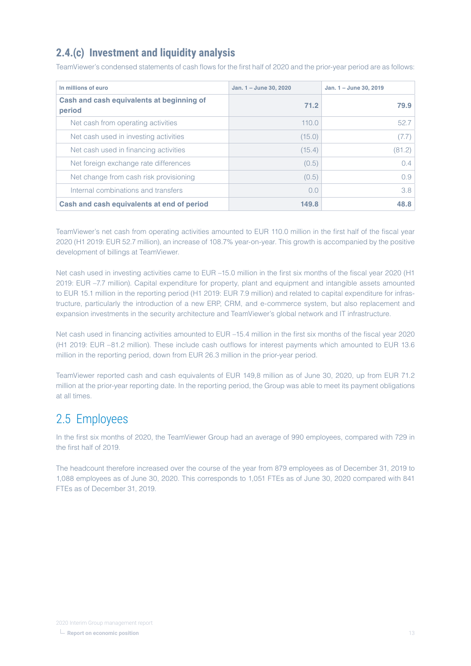## **2.4.(c) Investment and liquidity analysis**

TeamViewer's condensed statements of cash flows for the first half of 2020 and the prior-year period are as follows:

| In millions of euro                                 | Jan. 1 - June 30, 2020 | Jan. 1 - June 30, 2019 |
|-----------------------------------------------------|------------------------|------------------------|
| Cash and cash equivalents at beginning of<br>period | 71.2                   | 79.9                   |
| Net cash from operating activities                  | 110.0                  | 52.7                   |
| Net cash used in investing activities               | (15.0)                 | (7.7)                  |
| Net cash used in financing activities               | (15.4)                 | (81.2)                 |
| Net foreign exchange rate differences               | (0.5)                  | 0.4                    |
| Net change from cash risk provisioning              | (0.5)                  | 0.9                    |
| Internal combinations and transfers                 | 0.0                    | 3.8                    |
| Cash and cash equivalents at end of period          | 149.8                  | 48.8                   |

TeamViewer's net cash from operating activities amounted to EUR 110.0 million in the first half of the fiscal year 2020 (H1 2019: EUR 52.7 million), an increase of 108.7% year-on-year. This growth is accompanied by the positive development of billings at TeamViewer.

Net cash used in investing activities came to EUR –15.0 million in the first six months of the fiscal year 2020 (H1 2019: EUR –7.7 million). Capital expenditure for property, plant and equipment and intangible assets amounted to EUR 15.1 million in the reporting period (H1 2019: EUR 7.9 million) and related to capital expenditure for infrastructure, particularly the introduction of a new ERP, CRM, and e-commerce system, but also replacement and expansion investments in the security architecture and TeamViewer's global network and IT infrastructure.

Net cash used in financing activities amounted to EUR –15.4 million in the first six months of the fiscal year 2020 (H1 2019: EUR –81.2 million). These include cash outflows for interest payments which amounted to EUR 13.6 million in the reporting period, down from EUR 26.3 million in the prior-year period.

TeamViewer reported cash and cash equivalents of EUR 149,8 million as of June 30, 2020, up from EUR 71.2 million at the prior-year reporting date. In the reporting period, the Group was able to meet its payment obligations at all times.

# 2.5 Employees

In the first six months of 2020, the TeamViewer Group had an average of 990 employees, compared with 729 in the first half of 2019.

The headcount therefore increased over the course of the year from 879 employees as of December 31, 2019 to 1,088 employees as of June 30, 2020. This corresponds to 1,051 FTEs as of June 30, 2020 compared with 841 FTEs as of December 31, 2019.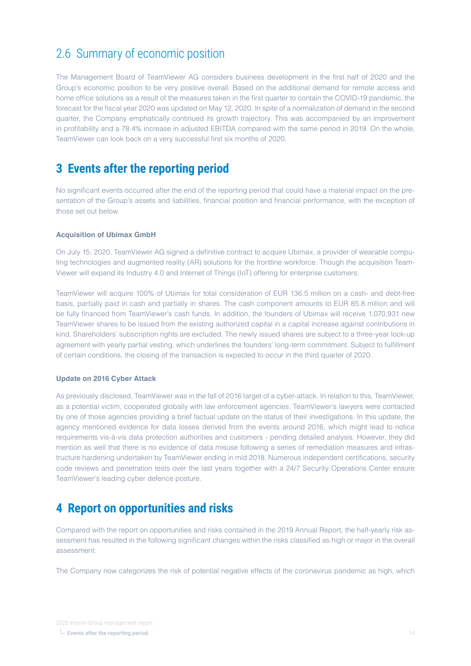## <span id="page-13-0"></span>2.6 Summary of economic position

The Management Board of TeamViewer AG considers business development in the first half of 2020 and the Group's economic position to be very positive overall. Based on the additional demand for remote access and home office solutions as a result of the measures taken in the first quarter to contain the COVID-19 pandemic, the forecast for the fiscal year 2020 was updated on May 12, 2020. In spite of a normalization of demand in the second quarter, the Company emphatically continued its growth trajectory. This was accompanied by an improvement in profitability and a 78.4% increase in adjusted EBITDA compared with the same period in 2019. On the whole, TeamViewer can look back on a very successful first six months of 2020.

## **3 Events after the reporting period**

No significant events occurred after the end of the reporting period that could have a material impact on the presentation of the Group's assets and liabilities, financial position and financial performance, with the exception of those set out below.

#### **Acquisition of Ubimax GmbH**

On July 15, 2020, TeamViewer AG signed a definitive contract to acquire Ubimax, a provider of wearable computing technologies and augmented reality (AR) solutions for the frontline workforce. Though the acquisition Team-Viewer will expand its Industry 4.0 and Internet of Things (IoT) offering for enterprise customers.

TeamViewer will acquire 100% of Ubimax for total consideration of EUR 136.5 million on a cash- and debt-free basis, partially paid in cash and partially in shares. The cash component amounts to EUR 85.8 million and will be fully financed from TeamViewer's cash funds. In addition, the founders of Ubimax will receive 1,070,931 new TeamViewer shares to be issued from the existing authorized capital in a capital increase against contributions in kind. Shareholders' subscription rights are excluded. The newly issued shares are subject to a three-year lock-up agreement with yearly partial vesting, which underlines the founders' long-term commitment. Subject to fulfillment of certain conditions, the closing of the transaction is expected to occur in the third quarter of 2020.

#### **Update on 2016 Cyber Attack**

As previously disclosed, TeamViewer was in the fall of 2016 target of a cyber-attack. In relation to this, TeamViewer, as a potential victim, cooperated globally with law enforcement agencies. TeamViewer's lawyers were contacted by one of those agencies providing a brief factual update on the status of their investigations. In this update, the agency mentioned evidence for data losses derived from the events around 2016, which might lead to notice requirements vis-à-vis data protection authorities and customers - pending detailed analysis. However, they did mention as well that there is no evidence of data misuse following a series of remediation measures and infrastructure hardening undertaken by TeamViewer ending in mid 2018. Numerous independent certifications, security code reviews and penetration tests over the last years together with a 24/7 Security Operations Center ensure TeamViewer's leading cyber defence posture.

## **4 Report on opportunities and risks**

Compared with the report on opportunities and risks contained in the 2019 Annual Report, the half-yearly risk assessment has resulted in the following significant changes within the risks classified as high or major in the overall assessment:

The Company now categorizes the risk of potential negative effects of the coronavirus pandemic as high, which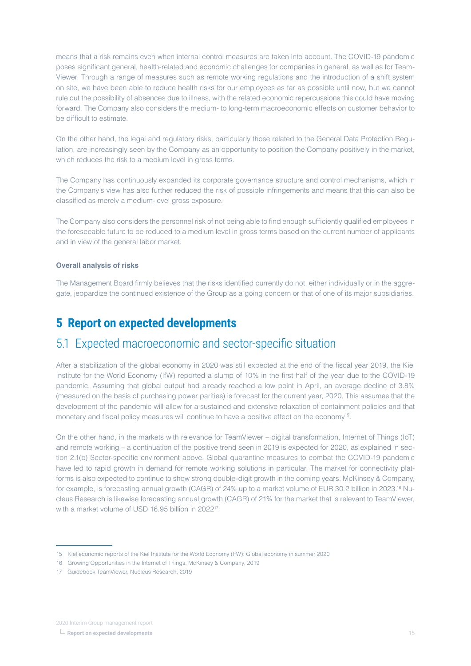<span id="page-14-0"></span>means that a risk remains even when internal control measures are taken into account. The COVID-19 pandemic poses significant general, health-related and economic challenges for companies in general, as well as for Team-Viewer. Through a range of measures such as remote working regulations and the introduction of a shift system on site, we have been able to reduce health risks for our employees as far as possible until now, but we cannot rule out the possibility of absences due to illness, with the related economic repercussions this could have moving forward. The Company also considers the medium- to long-term macroeconomic effects on customer behavior to be difficult to estimate.

On the other hand, the legal and regulatory risks, particularly those related to the General Data Protection Regulation, are increasingly seen by the Company as an opportunity to position the Company positively in the market, which reduces the risk to a medium level in gross terms.

The Company has continuously expanded its corporate governance structure and control mechanisms, which in the Company's view has also further reduced the risk of possible infringements and means that this can also be classified as merely a medium-level gross exposure.

The Company also considers the personnel risk of not being able to find enough sufficiently qualified employees in the foreseeable future to be reduced to a medium level in gross terms based on the current number of applicants and in view of the general labor market.

### **Overall analysis of risks**

The Management Board firmly believes that the risks identified currently do not, either individually or in the aggregate, jeopardize the continued existence of the Group as a going concern or that of one of its major subsidiaries.

## **5 Report on expected developments**

## 5.1 Expected macroeconomic and sector-specific situation

After a stabilization of the global economy in 2020 was still expected at the end of the fiscal year 2019, the Kiel Institute for the World Economy (IfW) reported a slump of 10% in the first half of the year due to the COVID-19 pandemic. Assuming that global output had already reached a low point in April, an average decline of 3.8% (measured on the basis of purchasing power parities) is forecast for the current year, 2020. This assumes that the development of the pandemic will allow for a sustained and extensive relaxation of containment policies and that monetary and fiscal policy measures will continue to have a positive effect on the economy<sup>15</sup>.

On the other hand, in the markets with relevance for TeamViewer – digital transformation, Internet of Things (IoT) and remote working – a continuation of the positive trend seen in 2019 is expected for 2020, as explained in section 2.1(b) Sector-specific environment above. Global quarantine measures to combat the COVID-19 pandemic have led to rapid growth in demand for remote working solutions in particular. The market for connectivity platforms is also expected to continue to show strong double-digit growth in the coming years. McKinsey & Company, for example, is forecasting annual growth (CAGR) of 24% up to a market volume of EUR 30.2 billion in 2023.16 Nucleus Research is likewise forecasting annual growth (CAGR) of 21% for the market that is relevant to TeamViewer, with a market volume of USD 16.95 billion in 2022<sup>17</sup>

<sup>15</sup> Kiel economic reports of the Kiel Institute for the World Economy (IfW): Global economy in summer 2020

<sup>16</sup> Growing Opportunities in the Internet of Things, McKinsey & Company, 2019

<sup>17</sup> Guidebook TeamViewer, Nucleus Research, 2019

<sup>2020</sup> Interim Group management report

**Report on expected developments**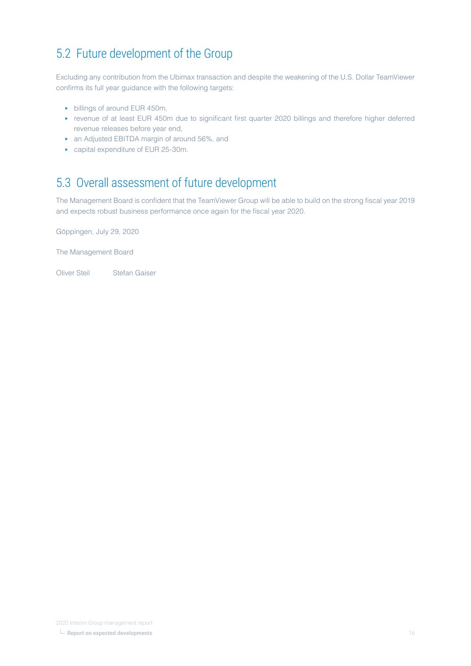# 5.2 Future development of the Group

Excluding any contribution from the Ubimax transaction and despite the weakening of the U.S. Dollar TeamViewer confirms its full year guidance with the following targets:

- ‣ billings of around EUR 450m,
- ‣ revenue of at least EUR 450m due to significant first quarter 2020 billings and therefore higher deferred revenue releases before year end,
- ‣ an Adjusted EBITDA margin of around 56%, and
- ▶ capital expenditure of EUR 25-30m.

# 5.3 Overall assessment of future development

The Management Board is confident that the TeamViewer Group will be able to build on the strong fiscal year 2019 and expects robust business performance once again for the fiscal year 2020.

Göppingen, July 29, 2020

The Management Board

Oliver Steil Stefan Gaiser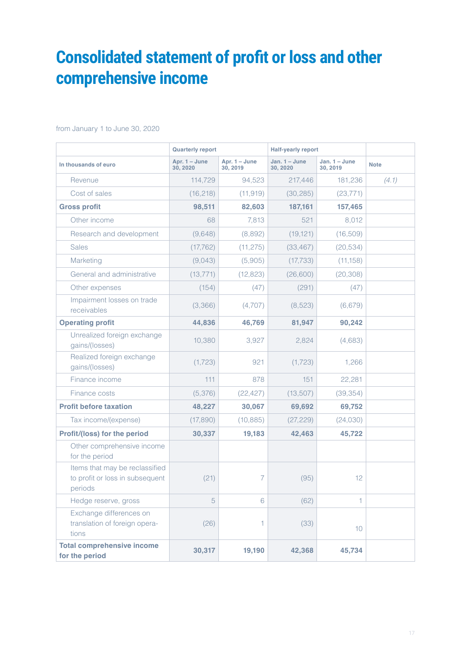# <span id="page-16-0"></span>**Consolidated statement of profit or loss and other comprehensive income**

from January 1 to June 30, 2020

|                                                                              | <b>Quarterly report</b>     |                           | <b>Half-yearly report</b>   |                             |             |
|------------------------------------------------------------------------------|-----------------------------|---------------------------|-----------------------------|-----------------------------|-------------|
| In thousands of euro                                                         | Apr. $1 -$ June<br>30, 2020 | Apr. 1 - June<br>30, 2019 | Jan. $1 -$ June<br>30, 2020 | Jan. $1 -$ June<br>30, 2019 | <b>Note</b> |
| Revenue                                                                      | 114,729                     | 94,523                    | 217,446                     | 181,236                     | (4.1)       |
| Cost of sales                                                                | (16, 218)                   | (11, 919)                 | (30, 285)                   | (23, 771)                   |             |
| <b>Gross profit</b>                                                          | 98,511                      | 82,603                    | 187,161                     | 157,465                     |             |
| Other income                                                                 | 68                          | 7.813                     | 521                         | 8.012                       |             |
| Research and development                                                     | (9,648)                     | (8,892)                   | (19, 121)                   | (16, 509)                   |             |
| <b>Sales</b>                                                                 | (17, 762)                   | (11, 275)                 | (33, 467)                   | (20, 534)                   |             |
| Marketing                                                                    | (9,043)                     | (5,905)                   | (17, 733)                   | (11,158)                    |             |
| General and administrative                                                   | (13, 771)                   | (12, 823)                 | (26,600)                    | (20, 308)                   |             |
| Other expenses                                                               | (154)                       | (47)                      | (291)                       | (47)                        |             |
| Impairment losses on trade<br>receivables                                    | (3,366)                     | (4,707)                   | (8,523)                     | (6,679)                     |             |
| <b>Operating profit</b>                                                      | 44,836                      | 46,769                    | 81,947                      | 90,242                      |             |
| Unrealized foreign exchange<br>gains/(losses)                                | 10,380                      | 3,927                     | 2,824                       | (4,683)                     |             |
| Realized foreign exchange<br>gains/(losses)                                  | (1, 723)                    | 921                       | (1,723)                     | 1,266                       |             |
| Finance income                                                               | 111                         | 878                       | 151                         | 22,281                      |             |
| Finance costs                                                                | (5,376)                     | (22, 427)                 | (13,507)                    | (39, 354)                   |             |
| <b>Profit before taxation</b>                                                | 48,227                      | 30,067                    | 69,692                      | 69,752                      |             |
| Tax income/(expense)                                                         | (17,890)                    | (10, 885)                 | (27, 229)                   | (24,030)                    |             |
| Profit/(loss) for the period                                                 | 30,337                      | 19,183                    | 42,463                      | 45,722                      |             |
| Other comprehensive income<br>for the period                                 |                             |                           |                             |                             |             |
| Items that may be reclassified<br>to profit or loss in subsequent<br>periods | (21)                        | 7                         | (95)                        | 12                          |             |
| Hedge reserve, gross                                                         | 5                           | 6                         | (62)                        | 1                           |             |
| Exchange differences on<br>translation of foreign opera-<br>tions            | (26)                        | 1                         | (33)                        | 10                          |             |
| <b>Total comprehensive income</b><br>for the period                          | 30,317                      | 19,190                    | 42,368                      | 45,734                      |             |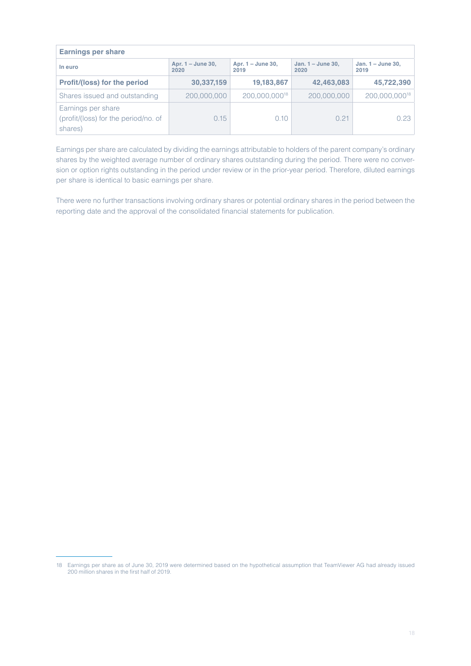| <b>Earnings per share</b>                                             |                           |                             |                             |                             |  |
|-----------------------------------------------------------------------|---------------------------|-----------------------------|-----------------------------|-----------------------------|--|
| In euro                                                               | Apr. 1 – June 30,<br>2020 | Apr. $1 -$ June 30,<br>2019 | Jan. $1 -$ June 30,<br>2020 | Jan. $1 -$ June 30,<br>2019 |  |
| Profit/(loss) for the period                                          | 30,337,159                | 19,183,867                  | 42,463,083                  | 45,722,390                  |  |
| Shares issued and outstanding                                         | 200,000,000               | 200,000,00018               | 200,000,000                 | 200,000,00018               |  |
| Earnings per share<br>(profit/(loss) for the period/no. of<br>shares) | 0.15                      | 0.10                        | 0.21                        | 0.23                        |  |

Earnings per share are calculated by dividing the earnings attributable to holders of the parent company's ordinary shares by the weighted average number of ordinary shares outstanding during the period. There were no conversion or option rights outstanding in the period under review or in the prior-year period. Therefore, diluted earnings per share is identical to basic earnings per share.

There were no further transactions involving ordinary shares or potential ordinary shares in the period between the reporting date and the approval of the consolidated financial statements for publication.

<sup>18</sup> Earnings per share as of June 30, 2019 were determined based on the hypothetical assumption that TeamViewer AG had already issued 200 million shares in the first half of 2019.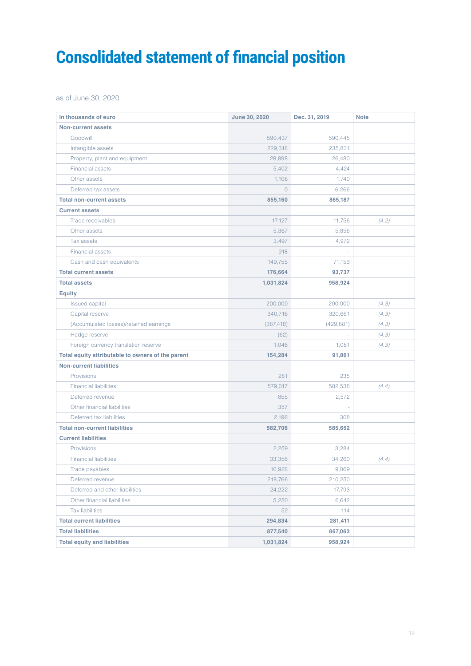# <span id="page-18-0"></span>**Consolidated statement of financial position**

as of June 30, 2020

| In thousands of euro                              | June 30, 2020  | Dec. 31, 2019 | <b>Note</b> |
|---------------------------------------------------|----------------|---------------|-------------|
| <b>Non-current assets</b>                         |                |               |             |
| Goodwill                                          | 590,437        | 590,445       |             |
| Intangible assets                                 | 229,318        | 235,831       |             |
| Property, plant and equipment                     | 28.898         | 26,480        |             |
| <b>Financial assets</b>                           | 5,402          | 4,424         |             |
| Other assets                                      | 1,106          | 1,740         |             |
| Deferred tax assets                               | $\overline{0}$ | 6,266         |             |
| <b>Total non-current assets</b>                   | 855,160        | 865,187       |             |
| <b>Current assets</b>                             |                |               |             |
| Trade receivables                                 | 17,127         | 11,756        | (4.2)       |
| Other assets                                      | 5,367          | 5,856         |             |
| Tax assets                                        | 3,497          | 4,972         |             |
| <b>Financial assets</b>                           | 918            |               |             |
| Cash and cash equivalents                         | 149,755        | 71,153        |             |
| <b>Total current assets</b>                       | 176,664        | 93,737        |             |
| <b>Total assets</b>                               | 1,031,824      | 958,924       |             |
| <b>Equity</b>                                     |                |               |             |
| Issued capital                                    | 200,000        | 200,000       | (4.3)       |
| Capital reserve                                   | 340.716        | 320,661       | (4.3)       |
| (Accumulated losses)/retained earnings            | (387, 418)     | (429, 881)    | (4.3)       |
| Hedge reserve                                     | (62)           |               | (4.3)       |
| Foreign currency translation reserve              | 1,048          | 1,081         | (4.3)       |
| Total equity attributable to owners of the parent | 154,284        | 91,861        |             |
| <b>Non-current liabilities</b>                    |                |               |             |
| Provisions                                        | 281            | 235           |             |
| <b>Financial liabilities</b>                      | 579,017        | 582,538       | (4.4)       |
| Deferred revenue                                  | 855            | 2,572         |             |
| Other financial liabilities                       | 357            |               |             |
| Deferred tax liabilities                          | 2,196          | 308           |             |
| <b>Total non-current liabilities</b>              | 582,706        | 585,652       |             |
| <b>Current liabilities</b>                        |                |               |             |
| Provisions                                        | 2,259          | 3,284         |             |
| <b>Financial liabilities</b>                      | 33,356         | 34,260        | (4.4)       |
| Trade payables                                    | 10,928         | 9,069         |             |
| Deferred revenue                                  | 218,766        | 210,250       |             |
| Deferred and other liabilities                    | 24,222         | 17,793        |             |
| Other financial liabilities                       | 5,250          | 6,642         |             |
| <b>Tax liabilities</b>                            | 52             | 114           |             |
| <b>Total current liabilities</b>                  | 294,834        | 281,411       |             |
| <b>Total liabilities</b>                          | 877,540        | 867,063       |             |
| <b>Total equity and liabilities</b>               | 1,031,824      | 958,924       |             |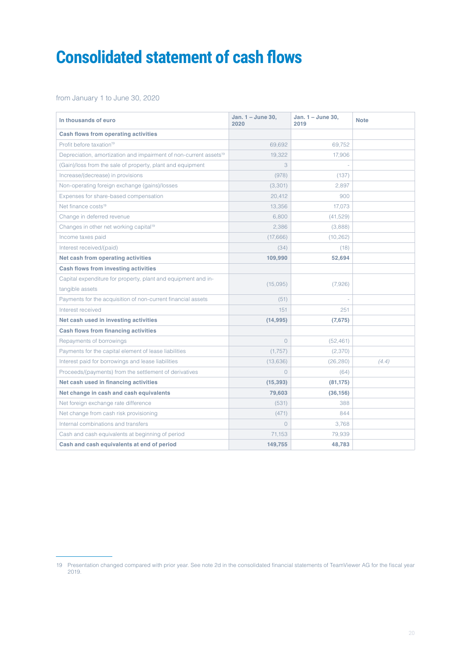# <span id="page-19-0"></span>**Consolidated statement of cash flows**

from January 1 to June 30, 2020

| In thousands of euro                                                          | Jan. 1 - June 30,<br>2020 | Jan. $1 -$ June 30,<br>2019 | <b>Note</b> |
|-------------------------------------------------------------------------------|---------------------------|-----------------------------|-------------|
| <b>Cash flows from operating activities</b>                                   |                           |                             |             |
| Profit before taxation <sup>19</sup>                                          | 69,692                    | 69,752                      |             |
| Depreciation, amortization and impairment of non-current assets <sup>19</sup> | 19,322                    | 17,906                      |             |
| (Gain)/loss from the sale of property, plant and equipment                    | 3                         |                             |             |
| Increase/(decrease) in provisions                                             | (978)                     | (137)                       |             |
| Non-operating foreign exchange (gains)/losses                                 | (3,301)                   | 2,897                       |             |
| Expenses for share-based compensation                                         | 20,412                    | 900                         |             |
| Net finance costs <sup>19</sup>                                               | 13,356                    | 17,073                      |             |
| Change in deferred revenue                                                    | 6,800                     | (41, 529)                   |             |
| Changes in other net working capital <sup>19</sup>                            | 2,386                     | (3,888)                     |             |
| Income taxes paid                                                             | (17,666)                  | (10, 262)                   |             |
| Interest received/(paid)                                                      | (34)                      | (18)                        |             |
| Net cash from operating activities                                            | 109,990                   | 52,694                      |             |
| Cash flows from investing activities                                          |                           |                             |             |
| Capital expenditure for property, plant and equipment and in-                 |                           |                             |             |
| tangible assets                                                               | (15,095)                  | (7,926)                     |             |
| Payments for the acquisition of non-current financial assets                  | (51)                      |                             |             |
| Interest received                                                             | 151                       | 251                         |             |
| Net cash used in investing activities                                         | (14, 995)                 | (7,675)                     |             |
| <b>Cash flows from financing activities</b>                                   |                           |                             |             |
| Repayments of borrowings                                                      | $\circ$                   | (52, 461)                   |             |
| Payments for the capital element of lease liabilities                         | (1,757)                   | (2,370)                     |             |
| Interest paid for borrowings and lease liabilities                            | (13,636)                  | (26, 280)                   | (4.4)       |
| Proceeds/(payments) from the settlement of derivatives                        | $\bigcap$                 | (64)                        |             |
| Net cash used in financing activities                                         | (15, 393)                 | (81, 175)                   |             |
| Net change in cash and cash equivalents                                       | 79,603                    | (36, 156)                   |             |
| Net foreign exchange rate difference                                          | (531)                     | 388                         |             |
| Net change from cash risk provisioning                                        | (471)                     | 844                         |             |
| Internal combinations and transfers                                           | $\bigcap$                 | 3,768                       |             |
| Cash and cash equivalents at beginning of period                              | 71,153                    | 79,939                      |             |
| Cash and cash equivalents at end of period                                    | 149,755                   | 48,783                      |             |

<sup>19</sup> Presentation changed compared with prior year. See note 2d in the consolidated financial statements of TeamViewer AG for the fiscal year 2019.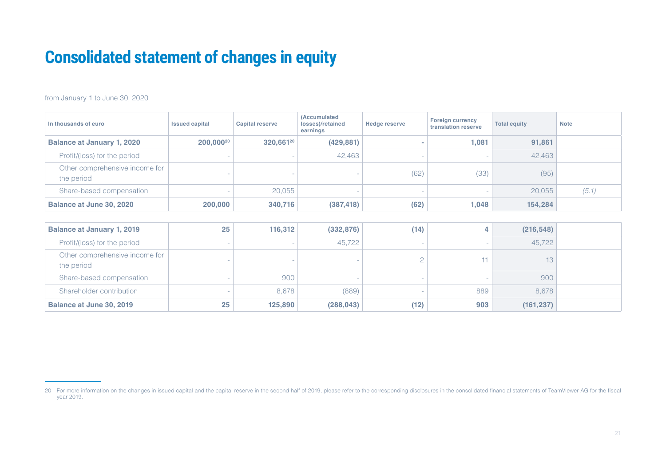# <span id="page-20-0"></span>**Consolidated statement of changes in equity**

from January 1 to June 30, 2020

| In thousands of euro                         | <b>Issued capital</b> | <b>Capital reserve</b> | (Accumulated<br>losses)/retained<br>earnings | <b>Hedge reserve</b> | <b>Foreign currency</b><br>translation reserve | <b>Total equity</b> | <b>Note</b> |
|----------------------------------------------|-----------------------|------------------------|----------------------------------------------|----------------------|------------------------------------------------|---------------------|-------------|
| <b>Balance at January 1, 2020</b>            | 200,000 <sup>20</sup> | 320,66120              | (429, 881)                                   |                      | 1,081                                          | 91,861              |             |
| Profit/(loss) for the period                 |                       |                        | 42,463                                       |                      |                                                | 42,463              |             |
| Other comprehensive income for<br>the period |                       |                        |                                              | (62)                 | (33)                                           | (95)                |             |
| Share-based compensation                     |                       | 20,055                 |                                              |                      | ۰                                              | 20,055              | (5.1)       |
| Balance at June 30, 2020                     | 200,000               | 340,716                | (387, 418)                                   | (62)                 | 1,048                                          | 154,284             |             |

| <b>Balance at January 1, 2019</b>            | 25 | 116,312 | (332, 876) | (14) |     | (216, 548) |  |
|----------------------------------------------|----|---------|------------|------|-----|------------|--|
| Profit/(loss) for the period                 |    |         | 45,722     |      |     | 45,722     |  |
| Other comprehensive income for<br>the period |    |         |            |      |     | 13         |  |
| Share-based compensation                     |    | 900     |            |      |     | 900        |  |
| Shareholder contribution                     |    | 8,678   | (889)      |      | 889 | 8,678      |  |
| <b>Balance at June 30, 2019</b>              | 25 | 125,890 | (288, 043) | (12) | 903 | (161, 237) |  |

<sup>20</sup> For more information on the changes in issued capital and the capital reserve in the second half of 2019, please refer to the corresponding disclosures in the consolidated financial statements of TeamViewer AG for the f year 2019.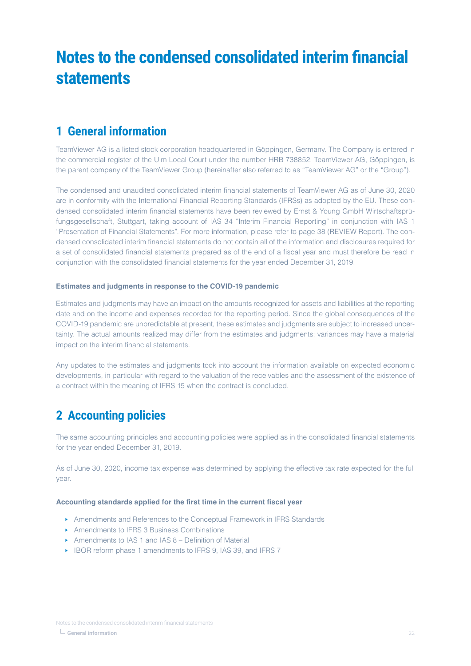# <span id="page-21-0"></span>**Notes to the condensed consolidated interim financial statements**

## **1 General information**

TeamViewer AG is a listed stock corporation headquartered in Göppingen, Germany. The Company is entered in the commercial register of the Ulm Local Court under the number HRB 738852. TeamViewer AG, Göppingen, is the parent company of the TeamViewer Group (hereinafter also referred to as "TeamViewer AG" or the "Group").

The condensed and unaudited consolidated interim financial statements of TeamViewer AG as of June 30, 2020 are in conformity with the International Financial Reporting Standards (IFRSs) as adopted by the EU. These condensed consolidated interim financial statements have been reviewed by Ernst & Young GmbH Wirtschaftsprüfungsgesellschaft, Stuttgart, taking account of IAS 34 "Interim Financial Reporting" in conjunction with IAS 1 "Presentation of Financial Statements". For more information, please refer to page 38 (REVIEW Report). The condensed consolidated interim financial statements do not contain all of the information and disclosures required for a set of consolidated financial statements prepared as of the end of a fiscal year and must therefore be read in conjunction with the consolidated financial statements for the year ended December 31, 2019.

#### **Estimates and judgments in response to the COVID-19 pandemic**

Estimates and judgments may have an impact on the amounts recognized for assets and liabilities at the reporting date and on the income and expenses recorded for the reporting period. Since the global consequences of the COVID-19 pandemic are unpredictable at present, these estimates and judgments are subject to increased uncertainty. The actual amounts realized may differ from the estimates and judgments; variances may have a material impact on the interim financial statements.

Any updates to the estimates and judgments took into account the information available on expected economic developments, in particular with regard to the valuation of the receivables and the assessment of the existence of a contract within the meaning of IFRS 15 when the contract is concluded.

## **2 Accounting policies**

The same accounting principles and accounting policies were applied as in the consolidated financial statements for the year ended December 31, 2019.

As of June 30, 2020, income tax expense was determined by applying the effective tax rate expected for the full year.

### **Accounting standards applied for the first time in the current fiscal year**

- ‣ Amendments and References to the Conceptual Framework in IFRS Standards
- ‣ Amendments to IFRS 3 Business Combinations
- Amendments to IAS 1 and IAS  $8 -$  Definition of Material
- ‣ IBOR reform phase 1 amendments to IFRS 9, IAS 39, and IFRS 7

Notes to the condensed consolidated interim financial statements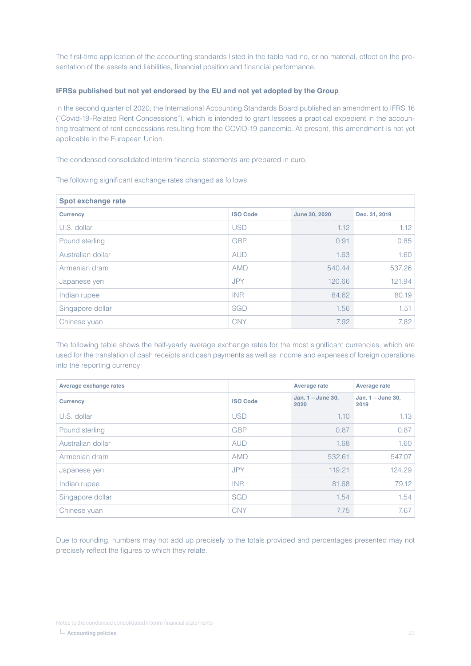The first-time application of the accounting standards listed in the table had no, or no material, effect on the presentation of the assets and liabilities, financial position and financial performance.

### **IFRSs published but not yet endorsed by the EU and not yet adopted by the Group**

In the second quarter of 2020, the International Accounting Standards Board published an amendment to IFRS 16 ("Covid-19-Related Rent Concessions"), which is intended to grant lessees a practical expedient in the accounting treatment of rent concessions resulting from the COVID-19 pandemic. At present, this amendment is not yet applicable in the European Union.

The condensed consolidated interim financial statements are prepared in euro.

The following significant exchange rates changed as follows:

| Spot exchange rate |                 |               |               |  |  |
|--------------------|-----------------|---------------|---------------|--|--|
| <b>Currency</b>    | <b>ISO Code</b> | June 30, 2020 | Dec. 31, 2019 |  |  |
| U.S. dollar        | <b>USD</b>      | 1.12          | 1.12          |  |  |
| Pound sterling     | <b>GBP</b>      | 0.91          | 0.85          |  |  |
| Australian dollar  | <b>AUD</b>      | 1.63          | 1.60          |  |  |
| Armenian dram      | <b>AMD</b>      | 540.44        | 537.26        |  |  |
| Japanese yen       | <b>JPY</b>      | 120.66        | 121.94        |  |  |
| Indian rupee       | <b>INR</b>      | 84.62         | 80.19         |  |  |
| Singapore dollar   | <b>SGD</b>      | 1.56          | 1.51          |  |  |
| Chinese yuan       | <b>CNY</b>      | 7.92          | 7.82          |  |  |

The following table shows the half-yearly average exchange rates for the most significant currencies, which are used for the translation of cash receipts and cash payments as well as income and expenses of foreign operations into the reporting currency:

| Average exchange rates |                 | Average rate                | Average rate                |
|------------------------|-----------------|-----------------------------|-----------------------------|
| <b>Currency</b>        | <b>ISO Code</b> | Jan. $1 -$ June 30,<br>2020 | Jan. $1 -$ June 30,<br>2019 |
| U.S. dollar            | <b>USD</b>      | 1.10                        | 1.13                        |
| Pound sterling         | <b>GBP</b>      | 0.87                        | 0.87                        |
| Australian dollar      | <b>AUD</b>      | 1.68                        | 1.60                        |
| Armenian dram          | <b>AMD</b>      | 532.61                      | 547.07                      |
| Japanese yen           | <b>JPY</b>      | 119.21                      | 124.29                      |
| Indian rupee           | <b>INR</b>      | 81.68                       | 79.12                       |
| Singapore dollar       | <b>SGD</b>      | 1.54                        | 1.54                        |
| Chinese yuan           | <b>CNY</b>      | 7.75                        | 7.67                        |

Due to rounding, numbers may not add up precisely to the totals provided and percentages presented may not precisely reflect the figures to which they relate.

**Accounting policies**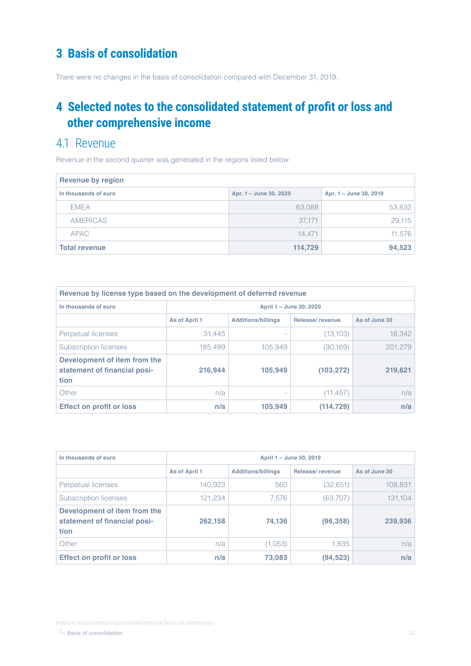# <span id="page-23-0"></span>**3 Basis of consolidation**

There were no changes in the basis of consolidation compared with December 31, 2019.

# **4 Selected notes to the consolidated statement of profit or loss and other comprehensive income**

## 4.1 Revenue

Revenue in the second quarter was generated in the regions listed below:

| <b>Revenue by region</b> |                        |                        |  |  |  |
|--------------------------|------------------------|------------------------|--|--|--|
| In thousands of euro     | Apr. 1 – June 30, 2020 | Apr. 1 – June 30, 2019 |  |  |  |
| <b>EMEA</b>              | 63,088                 | 53,832                 |  |  |  |
| AMERICAS                 | 37,171                 | 29,115                 |  |  |  |
| <b>APAC</b>              | 14.471                 | 11,576                 |  |  |  |
| <b>Total revenue</b>     | 114,729                | 94,523                 |  |  |  |

| Revenue by license type based on the development of deferred revenue |                         |                           |                 |               |  |
|----------------------------------------------------------------------|-------------------------|---------------------------|-----------------|---------------|--|
| In thousands of euro                                                 | April 1 - June 30, 2020 |                           |                 |               |  |
|                                                                      | As of April 1           | <b>Additions/billings</b> | Release/revenue | As of June 30 |  |
| Perpetual licenses                                                   | 31.445                  |                           | (13,103)        | 18,342        |  |
| Subscription licenses                                                | 185.499                 | 105.949                   | (90,169)        | 201.279       |  |
| Development of item from the<br>statement of financial posi-<br>tion | 216,944                 | 105.949                   | (103, 272)      | 219,621       |  |
| Other                                                                | n/a                     |                           | (11, 457)       | n/a           |  |
| <b>Effect on profit or loss</b>                                      | n/a                     | 105,949                   | (114, 729)      | n/a           |  |

| In thousands of euro                                                 | April 1 - June 30, 2019 |                           |                 |               |  |
|----------------------------------------------------------------------|-------------------------|---------------------------|-----------------|---------------|--|
|                                                                      | As of April 1           | <b>Additions/billings</b> | Release/revenue | As of June 30 |  |
| Perpetual licenses                                                   | 140,923                 | 560                       | (32,651)        | 108,831       |  |
| Subscription licenses                                                | 121,234                 | 7.576                     | (63,707)        | 131,104       |  |
| Development of item from the<br>statement of financial posi-<br>tion | 262,158                 | 74,136                    | (96, 358)       | 239,936       |  |
| Other                                                                | n/a                     | (1,053)                   | 1,835           | n/a           |  |
| <b>Effect on profit or loss</b>                                      | n/a                     | 73,083                    | (94, 523)       | n/a           |  |

Notes to the condensed consolidated interim financial statements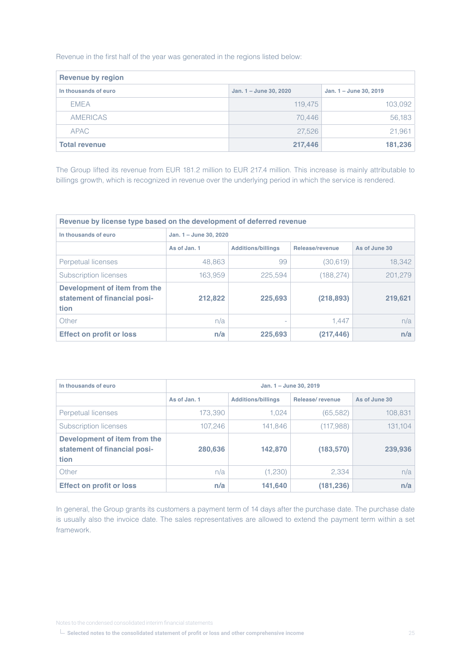Revenue in the first half of the year was generated in the regions listed below:

| <b>Revenue by region</b> |                        |                        |  |  |  |
|--------------------------|------------------------|------------------------|--|--|--|
| In thousands of euro     | Jan. 1 - June 30, 2020 | Jan. 1 - June 30, 2019 |  |  |  |
| <b>EMEA</b>              | 119,475                | 103,092                |  |  |  |
| <b>AMERICAS</b>          | 70.446                 | 56,183                 |  |  |  |
| <b>APAC</b>              | 27,526                 | 21,961                 |  |  |  |
| <b>Total revenue</b>     | 217,446                | 181,236                |  |  |  |

The Group lifted its revenue from EUR 181.2 million to EUR 217.4 million. This increase is mainly attributable to billings growth, which is recognized in revenue over the underlying period in which the service is rendered.

| Revenue by license type based on the development of deferred revenue |                        |                                                               |            |         |  |  |  |
|----------------------------------------------------------------------|------------------------|---------------------------------------------------------------|------------|---------|--|--|--|
| In thousands of euro                                                 | Jan. 1 - June 30, 2020 |                                                               |            |         |  |  |  |
|                                                                      | As of Jan. 1           | Release/revenue<br>As of June 30<br><b>Additions/billings</b> |            |         |  |  |  |
| Perpetual licenses                                                   | 48.863                 | 99                                                            | (30,619)   | 18,342  |  |  |  |
| Subscription licenses                                                | 163,959                | 225.594                                                       | (188, 274) | 201,279 |  |  |  |
| Development of item from the<br>statement of financial posi-<br>tion | 212.822                | 225.693                                                       | (218, 893) | 219,621 |  |  |  |
| Other                                                                | n/a                    |                                                               | 1.447      | n/a     |  |  |  |
| <b>Effect on profit or loss</b>                                      | n/a                    | 225,693                                                       | (217, 446) | n/a     |  |  |  |

| In thousands of euro                                                 | Jan. 1 - June 30, 2019 |                           |                 |               |  |  |
|----------------------------------------------------------------------|------------------------|---------------------------|-----------------|---------------|--|--|
|                                                                      | As of Jan. 1           | <b>Additions/billings</b> | Release/revenue | As of June 30 |  |  |
| Perpetual licenses                                                   | 173,390                | 1.024                     | (65, 582)       | 108,831       |  |  |
| <b>Subscription licenses</b>                                         | 107.246                | 141,846                   | (117,988)       | 131,104       |  |  |
| Development of item from the<br>statement of financial posi-<br>tion | 280,636                | 142,870                   | (183, 570)      | 239,936       |  |  |
| Other                                                                | n/a                    | (1,230)                   | 2.334           | n/a           |  |  |
| <b>Effect on profit or loss</b>                                      | n/a                    | 141,640                   | (181, 236)      | n/a           |  |  |

In general, the Group grants its customers a payment term of 14 days after the purchase date. The purchase date is usually also the invoice date. The sales representatives are allowed to extend the payment term within a set framework.

Notes to the condensed consolidated interim financial statements

**Selected notes to the consolidated statement of profit or loss and other comprehensive income**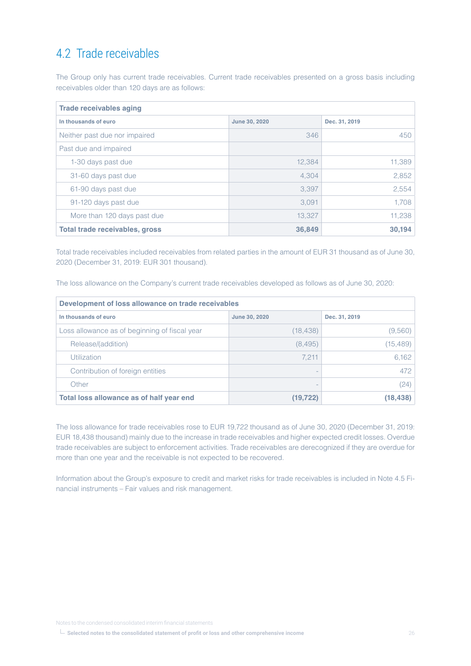## 4.2 Trade receivables

The Group only has current trade receivables. Current trade receivables presented on a gross basis including receivables older than 120 days are as follows:

| <b>Trade receivables aging</b>        |               |               |  |  |  |
|---------------------------------------|---------------|---------------|--|--|--|
| In thousands of euro                  | June 30, 2020 | Dec. 31, 2019 |  |  |  |
| Neither past due nor impaired         | 346           | 450           |  |  |  |
| Past due and impaired                 |               |               |  |  |  |
| 1-30 days past due                    | 12,384        | 11,389        |  |  |  |
| 31-60 days past due                   | 4,304         | 2,852         |  |  |  |
| 61-90 days past due                   | 3.397         | 2,554         |  |  |  |
| 91-120 days past due                  | 3,091         | 1,708         |  |  |  |
| More than 120 days past due           | 13,327        | 11,238        |  |  |  |
| <b>Total trade receivables, gross</b> | 36,849        | 30,194        |  |  |  |

Total trade receivables included receivables from related parties in the amount of EUR 31 thousand as of June 30, 2020 (December 31, 2019: EUR 301 thousand).

The loss allowance on the Company's current trade receivables developed as follows as of June 30, 2020:

| Development of loss allowance on trade receivables |                          |               |  |  |  |
|----------------------------------------------------|--------------------------|---------------|--|--|--|
| In thousands of euro                               | June 30, 2020            | Dec. 31, 2019 |  |  |  |
| Loss allowance as of beginning of fiscal year      | (18, 438)                | (9,560)       |  |  |  |
| Release/(addition)                                 | (8, 495)                 | (15, 489)     |  |  |  |
| Utilization                                        | 7.211                    | 6,162         |  |  |  |
| Contribution of foreign entities                   | $\overline{\phantom{a}}$ | 472           |  |  |  |
| Other                                              |                          | (24)          |  |  |  |
| Total loss allowance as of half year end           | (19, 722)                | (18, 438)     |  |  |  |

The loss allowance for trade receivables rose to EUR 19,722 thousand as of June 30, 2020 (December 31, 2019: EUR 18,438 thousand) mainly due to the increase in trade receivables and higher expected credit losses. Overdue trade receivables are subject to enforcement activities. Trade receivables are derecognized if they are overdue for more than one year and the receivable is not expected to be recovered.

Information about the Group's exposure to credit and market risks for trade receivables is included in Note 4.5 Financial instruments – Fair values and risk management.

Notes to the condensed consolidated interim financial statements

**Selected notes to the consolidated statement of profit or loss and other comprehensive income**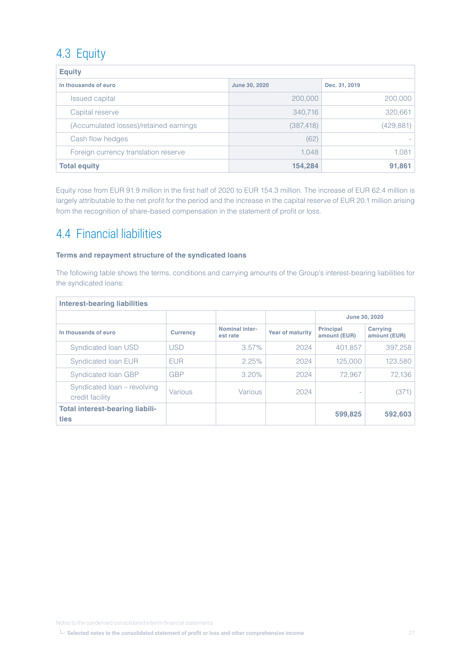# 4.3 Equity

| <b>Equity</b>                          |               |               |  |  |  |
|----------------------------------------|---------------|---------------|--|--|--|
| In thousands of euro                   | June 30, 2020 | Dec. 31, 2019 |  |  |  |
| Issued capital                         | 200,000       | 200,000       |  |  |  |
| Capital reserve                        | 340,716       | 320,661       |  |  |  |
| (Accumulated losses)/retained earnings | (387, 418)    | (429,881)     |  |  |  |
| Cash flow hedges                       | (62)          |               |  |  |  |
| Foreign currency translation reserve   | 1.048         | 1,081         |  |  |  |
| <b>Total equity</b>                    | 154,284       | 91,861        |  |  |  |

Equity rose from EUR 91.9 million in the first half of 2020 to EUR 154.3 million. The increase of EUR 62.4 million is largely attributable to the net profit for the period and the increase in the capital reserve of EUR 20.1 million arising from the recognition of share-based compensation in the statement of profit or loss.

# 4.4 Financial liabilities

### **Terms and repayment structure of the syndicated loans**

The following table shows the terms, conditions and carrying amounts of the Group's interest-bearing liabilities for the syndicated loans:

| <b>Interest-bearing liabilities</b>            |                 |                            |                         |                                  |                          |
|------------------------------------------------|-----------------|----------------------------|-------------------------|----------------------------------|--------------------------|
|                                                |                 |                            |                         |                                  | June 30, 2020            |
| In thousands of euro                           | <b>Currency</b> | Nominal inter-<br>est rate | <b>Year of maturity</b> | <b>Principal</b><br>amount (EUR) | Carrying<br>amount (EUR) |
| Syndicated Ioan USD                            | <b>USD</b>      | 3.57%                      | 2024                    | 401.857                          | 397.258                  |
| Syndicated Ioan EUR                            | <b>EUR</b>      | 2.25%                      | 2024                    | 125,000                          | 123,580                  |
| Syndicated Ioan GBP                            | <b>GBP</b>      | 3.20%                      | 2024                    | 72.967                           | 72,136                   |
| Syndicated loan – revolving<br>credit facility | Various         | <b>Various</b>             | 2024                    |                                  | (371)                    |
| <b>Total interest-bearing liabili-</b><br>ties |                 |                            |                         | 599,825                          | 592,603                  |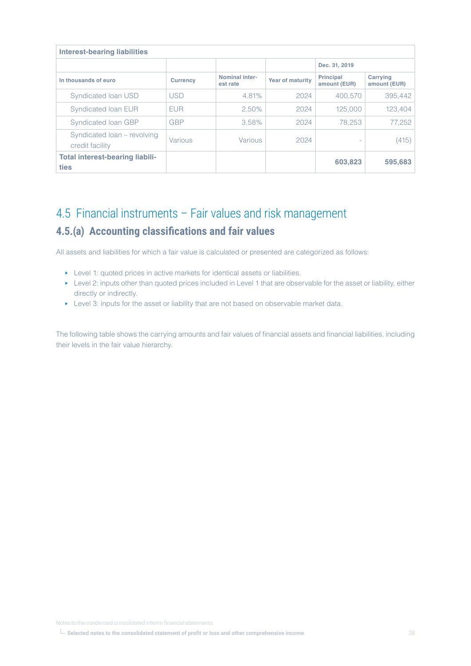| <b>Interest-bearing liabilities</b>            |                 |                                   |                         |                                  |                          |
|------------------------------------------------|-----------------|-----------------------------------|-------------------------|----------------------------------|--------------------------|
|                                                |                 |                                   |                         | Dec. 31, 2019                    |                          |
| In thousands of euro                           | <b>Currency</b> | <b>Nominal inter-</b><br>est rate | <b>Year of maturity</b> | <b>Principal</b><br>amount (EUR) | Carrying<br>amount (EUR) |
| Syndicated Ioan USD                            | <b>USD</b>      | 4.81%                             | 2024                    | 400.570                          | 395.442                  |
| Syndicated Ioan EUR                            | <b>EUR</b>      | 2.50%                             | 2024                    | 125,000                          | 123.404                  |
| Syndicated Ioan GBP                            | <b>GBP</b>      | 3.58%                             | 2024                    | 78.253                           | 77.252                   |
| Syndicated loan – revolving<br>credit facility | Various         | Various                           | 2024                    | $\overline{\phantom{a}}$         | (415)                    |
| Total interest-bearing liabili-<br>ties        |                 |                                   |                         | 603,823                          | 595.683                  |

# 4.5 Financial instruments – Fair values and risk management **4.5.(a) Accounting classifications and fair values**

All assets and liabilities for which a fair value is calculated or presented are categorized as follows:

- ‣ Level 1: quoted prices in active markets for identical assets or liabilities.
- ‣ Level 2: inputs other than quoted prices included in Level 1 that are observable for the asset or liability, either directly or indirectly.
- ‣ Level 3: inputs for the asset or liability that are not based on observable market data.

The following table shows the carrying amounts and fair values of financial assets and financial liabilities, including their levels in the fair value hierarchy.

Notes to the condensed consolidated interim financial statements

**Selected notes to the consolidated statement of profit or loss and other comprehensive income**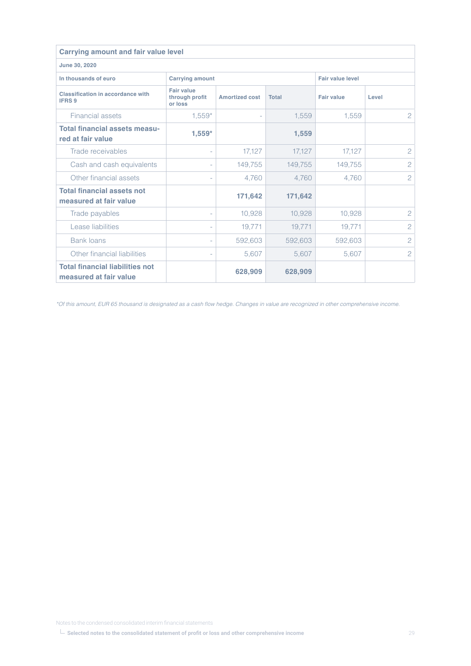| <b>Carrying amount and fair value level</b>                      |                                                |                          |         |                   |                |  |  |
|------------------------------------------------------------------|------------------------------------------------|--------------------------|---------|-------------------|----------------|--|--|
| June 30, 2020                                                    |                                                |                          |         |                   |                |  |  |
| In thousands of euro                                             | <b>Carrying amount</b>                         | <b>Fair value level</b>  |         |                   |                |  |  |
| <b>Classification in accordance with</b><br><b>IFRS 9</b>        | <b>Fair value</b><br>through profit<br>or loss | <b>Amortized cost</b>    | Total   | <b>Fair value</b> | Level          |  |  |
| Financial assets                                                 | $1,559*$                                       | $\overline{\phantom{a}}$ | 1,559   | 1,559             | $\overline{c}$ |  |  |
| Total financial assets measu-<br>red at fair value               | $1,559*$                                       |                          | 1,559   |                   |                |  |  |
| Trade receivables                                                | $\bar{ }$                                      | 17,127                   | 17,127  | 17,127            | $\overline{c}$ |  |  |
| Cash and cash equivalents                                        | $\overline{\phantom{a}}$                       | 149,755                  | 149,755 | 149,755           | $\overline{2}$ |  |  |
| Other financial assets                                           | $\overline{\phantom{a}}$                       | 4,760                    | 4,760   | 4,760             | $\overline{c}$ |  |  |
| <b>Total financial assets not</b><br>measured at fair value      |                                                | 171,642                  | 171,642 |                   |                |  |  |
| Trade payables                                                   | $\overline{\phantom{a}}$                       | 10,928                   | 10,928  | 10,928            | $\overline{c}$ |  |  |
| Lease liabilities                                                | $\overline{\phantom{a}}$                       | 19,771                   | 19,771  | 19,771            | $\overline{c}$ |  |  |
| <b>Bank loans</b>                                                | ÷,                                             | 592,603                  | 592,603 | 592,603           | $\overline{2}$ |  |  |
| Other financial liabilities                                      | $\overline{\phantom{a}}$                       | 5,607                    | 5,607   | 5,607             | $\overline{2}$ |  |  |
| <b>Total financial liabilities not</b><br>measured at fair value |                                                | 628,909                  | 628,909 |                   |                |  |  |

\*Of this amount, EUR 65 thousand is designated as a cash flow hedge. Changes in value are recognized in other comprehensive income.

Notes to the condensed consolidated interim financial statements

**Selected notes to the consolidated statement of profit or loss and other comprehensive income**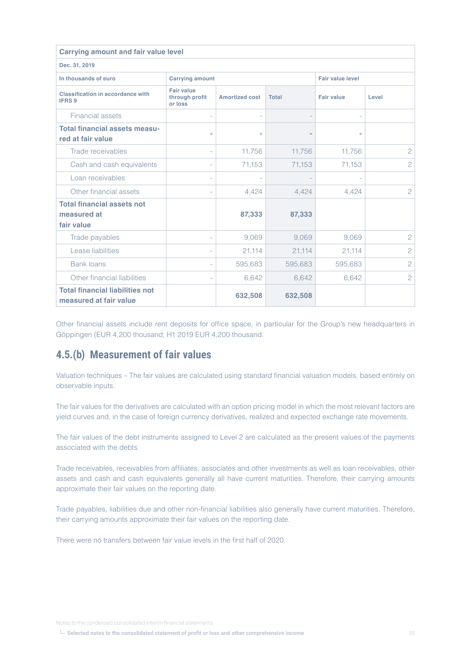| <b>Carrying amount and fair value level</b>                      |                                                |                       |              |                         |                |  |
|------------------------------------------------------------------|------------------------------------------------|-----------------------|--------------|-------------------------|----------------|--|
| Dec. 31, 2019                                                    |                                                |                       |              |                         |                |  |
| In thousands of euro                                             | <b>Carrying amount</b>                         |                       |              | <b>Fair value level</b> |                |  |
| Classification in accordance with<br><b>IFRS 9</b>               | <b>Fair value</b><br>through profit<br>or loss | <b>Amortized cost</b> | <b>Total</b> | <b>Fair value</b>       | Level          |  |
| <b>Financial assets</b>                                          | L.                                             |                       |              |                         |                |  |
| <b>Total financial assets measu-</b><br>red at fair value        | ÷                                              | ٠                     |              |                         |                |  |
| Trade receivables                                                | L,                                             | 11,756                | 11,756       | 11,756                  | $\mathbf{2}$   |  |
| Cash and cash equivalents                                        | $\overline{\phantom{a}}$                       | 71,153                | 71,153       | 71,153                  | $\overline{c}$ |  |
| Loan receivables                                                 | $\overline{\phantom{a}}$                       |                       |              |                         |                |  |
| Other financial assets                                           | $\overline{\phantom{a}}$                       | 4,424                 | 4.424        | 4.424                   | 2              |  |
| <b>Total financial assets not</b><br>measured at<br>fair value   |                                                | 87,333                | 87,333       |                         |                |  |
| Trade payables                                                   | $\overline{\phantom{a}}$                       | 9,069                 | 9.069        | 9.069                   | $\overline{c}$ |  |
| Lease liabilities                                                | $\overline{\phantom{a}}$                       | 21,114                | 21,114       | 21,114                  | $\mathbf{2}$   |  |
| <b>Bank loans</b>                                                | $\overline{\phantom{a}}$                       | 595,683               | 595,683      | 595,683                 | $\overline{c}$ |  |
| Other financial liabilities                                      | $\bar{a}$                                      | 6,642                 | 6,642        | 6,642                   | $\overline{c}$ |  |
| <b>Total financial liabilities not</b><br>measured at fair value |                                                | 632,508               | 632,508      |                         |                |  |

Other financial assets include rent deposits for office space, in particular for the Group's new headquarters in Göppingen (EUR 4,200 thousand; H1 2019 EUR 4,200 thousand.

## **4.5.(b) Measurement of fair values**

Valuation techniques – The fair values are calculated using standard financial valuation models, based entirely on observable inputs.

The fair values for the derivatives are calculated with an option pricing model in which the most relevant factors are yield curves and, in the case of foreign currency derivatives, realized and expected exchange rate movements.

The fair values of the debt instruments assigned to Level 2 are calculated as the present values of the payments associated with the debts.

Trade receivables, receivables from affiliates, associates and other investments as well as loan receivables, other assets and cash and cash equivalents generally all have current maturities. Therefore, their carrying amounts approximate their fair values on the reporting date.

Trade payables, liabilities due and other non-financial liabilities also generally have current maturities. Therefore, their carrying amounts approximate their fair values on the reporting date.

There were no transfers between fair value levels in the first half of 2020.

Notes to the condensed consolidated interim financial statements

**Selected notes to the consolidated statement of profit or loss and other comprehensive income**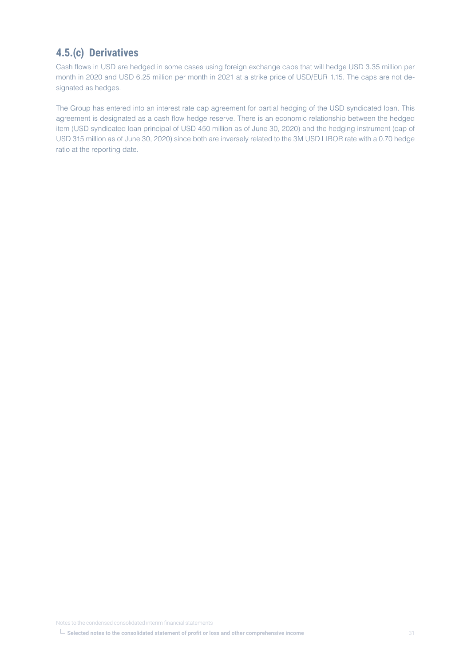## **4.5.(c) Derivatives**

Cash flows in USD are hedged in some cases using foreign exchange caps that will hedge USD 3.35 million per month in 2020 and USD 6.25 million per month in 2021 at a strike price of USD/EUR 1.15. The caps are not designated as hedges.

The Group has entered into an interest rate cap agreement for partial hedging of the USD syndicated loan. This agreement is designated as a cash flow hedge reserve. There is an economic relationship between the hedged item (USD syndicated loan principal of USD 450 million as of June 30, 2020) and the hedging instrument (cap of USD 315 million as of June 30, 2020) since both are inversely related to the 3M USD LIBOR rate with a 0.70 hedge ratio at the reporting date.

Notes to the condensed consolidated interim financial statements

**Selected notes to the consolidated statement of profit or loss and other comprehensive income**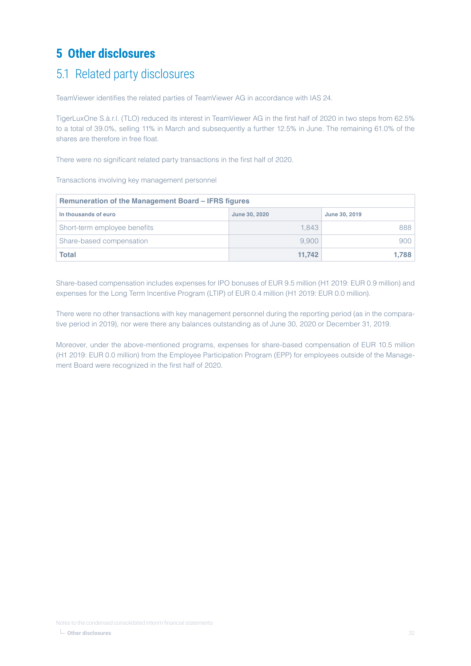# <span id="page-31-0"></span>**5 Other disclosures**

## 5.1 Related party disclosures

TeamViewer identifies the related parties of TeamViewer AG in accordance with IAS 24.

TigerLuxOne S.à.r.l. (TLO) reduced its interest in TeamViewer AG in the first half of 2020 in two steps from 62.5% to a total of 39.0%, selling 11% in March and subsequently a further 12.5% in June. The remaining 61.0% of the shares are therefore in free float.

There were no significant related party transactions in the first half of 2020.

Transactions involving key management personnel

| <b>Remuneration of the Management Board – IFRS figures</b> |        |       |  |  |  |
|------------------------------------------------------------|--------|-------|--|--|--|
| In thousands of euro<br>June 30, 2020<br>June 30, 2019     |        |       |  |  |  |
| Short-term employee benefits                               | 1.843  | 888   |  |  |  |
| Share-based compensation                                   | 9.900  | 900   |  |  |  |
| <b>Total</b>                                               | 11.742 | 1.788 |  |  |  |

Share-based compensation includes expenses for IPO bonuses of EUR 9.5 million (H1 2019: EUR 0.9 million) and expenses for the Long Term Incentive Program (LTIP) of EUR 0.4 million (H1 2019: EUR 0.0 million).

There were no other transactions with key management personnel during the reporting period (as in the comparative period in 2019), nor were there any balances outstanding as of June 30, 2020 or December 31, 2019.

Moreover, under the above-mentioned programs, expenses for share-based compensation of EUR 10.5 million (H1 2019: EUR 0.0 million) from the Employee Participation Program (EPP) for employees outside of the Management Board were recognized in the first half of 2020.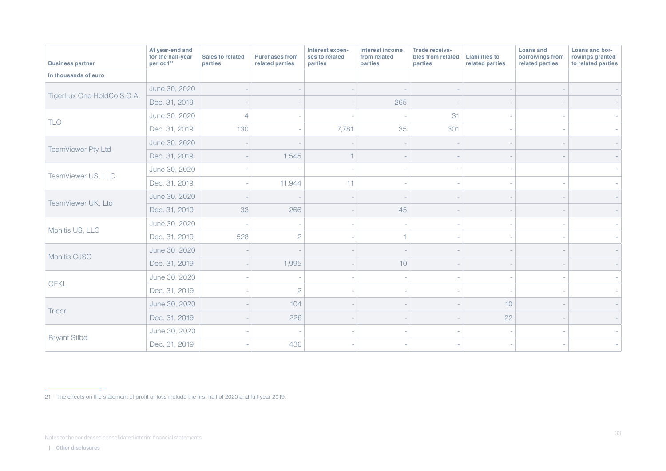| <b>Business partner</b>    | At year-end and<br>for the half-year<br>period1 <sup>21</sup> | <b>Sales to related</b><br>parties | <b>Purchases from</b><br>related parties | Interest expen-<br>ses to related<br>parties | Interest income<br>from related<br>parties | Trade receiva-<br>bles from related<br>parties | <b>Liabilities to</b><br>related parties | <b>Loans and</b><br>borrowings from<br>related parties | Loans and bor-<br>rowings granted<br>to related parties |
|----------------------------|---------------------------------------------------------------|------------------------------------|------------------------------------------|----------------------------------------------|--------------------------------------------|------------------------------------------------|------------------------------------------|--------------------------------------------------------|---------------------------------------------------------|
| In thousands of euro       |                                                               |                                    |                                          |                                              |                                            |                                                |                                          |                                                        |                                                         |
|                            | June 30, 2020                                                 |                                    |                                          |                                              |                                            |                                                |                                          |                                                        |                                                         |
| TigerLux One HoldCo S.C.A. | Dec. 31, 2019                                                 |                                    |                                          |                                              | 265                                        |                                                |                                          |                                                        |                                                         |
|                            | June 30, 2020                                                 | $\overline{4}$                     |                                          |                                              |                                            | 31                                             |                                          |                                                        |                                                         |
| <b>TLO</b>                 | Dec. 31, 2019                                                 | 130                                |                                          | 7,781                                        | 35                                         | 301                                            |                                          |                                                        |                                                         |
|                            | June 30, 2020                                                 |                                    |                                          |                                              |                                            |                                                |                                          |                                                        |                                                         |
| TeamViewer Pty Ltd         | Dec. 31, 2019                                                 |                                    | 1,545                                    |                                              |                                            |                                                |                                          |                                                        |                                                         |
| TeamViewer US, LLC         | June 30, 2020                                                 |                                    |                                          |                                              |                                            |                                                |                                          |                                                        |                                                         |
|                            | Dec. 31, 2019                                                 |                                    | 11,944                                   | 11                                           |                                            |                                                |                                          |                                                        |                                                         |
| TeamViewer UK, Ltd         | June 30, 2020                                                 |                                    |                                          |                                              |                                            |                                                |                                          |                                                        |                                                         |
|                            | Dec. 31, 2019                                                 | 33                                 | 266                                      |                                              | 45                                         |                                                |                                          |                                                        |                                                         |
| Monitis US, LLC            | June 30, 2020                                                 |                                    |                                          |                                              |                                            |                                                |                                          |                                                        |                                                         |
|                            | Dec. 31, 2019                                                 | 528                                | $\overline{a}$                           |                                              |                                            |                                                |                                          |                                                        |                                                         |
| Monitis CJSC               | June 30, 2020                                                 |                                    |                                          |                                              |                                            |                                                |                                          |                                                        |                                                         |
|                            | Dec. 31, 2019                                                 |                                    | 1,995                                    |                                              | 10                                         |                                                |                                          |                                                        |                                                         |
| <b>GFKL</b>                | June 30, 2020                                                 |                                    |                                          |                                              |                                            |                                                |                                          |                                                        |                                                         |
|                            | Dec. 31, 2019                                                 |                                    | $\overline{c}$                           |                                              |                                            |                                                | $\overline{a}$                           |                                                        |                                                         |
| <b>Tricor</b>              | June 30, 2020                                                 |                                    | 104                                      |                                              |                                            |                                                | 10                                       |                                                        |                                                         |
|                            | Dec. 31, 2019                                                 |                                    | 226                                      |                                              |                                            |                                                | 22                                       |                                                        |                                                         |
|                            | June 30, 2020                                                 |                                    |                                          |                                              |                                            |                                                |                                          |                                                        |                                                         |
| <b>Bryant Stibel</b>       | Dec. 31, 2019                                                 |                                    | 436                                      |                                              |                                            |                                                |                                          |                                                        |                                                         |

21 The effects on the statement of profit or loss include the first half of 2020 and full-year 2019.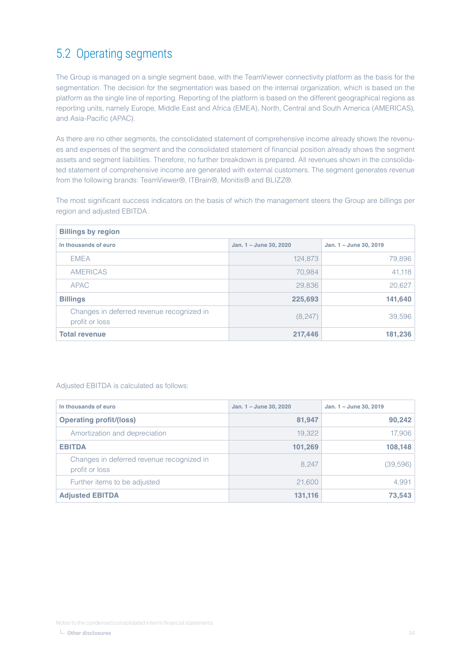# 5.2 Operating segments

The Group is managed on a single segment base, with the TeamViewer connectivity platform as the basis for the segmentation. The decision for the segmentation was based on the internal organization, which is based on the platform as the single line of reporting. Reporting of the platform is based on the different geographical regions as reporting units, namely Europe, Middle East and Africa (EMEA), North, Central and South America (AMERICAS), and Asia-Pacific (APAC).

As there are no other segments, the consolidated statement of comprehensive income already shows the revenues and expenses of the segment and the consolidated statement of financial position already shows the segment assets and segment liabilities. Therefore, no further breakdown is prepared. All revenues shown in the consolidated statement of comprehensive income are generated with external customers. The segment generates revenue from the following brands: TeamViewer®, ITBrain®, Monitis® and BLIZZ®.

The most significant success indicators on the basis of which the management steers the Group are billings per region and adjusted EBITDA.

| <b>Billings by region</b>                                   |                        |                        |  |  |  |
|-------------------------------------------------------------|------------------------|------------------------|--|--|--|
| In thousands of euro                                        | Jan. 1 - June 30, 2020 | Jan. 1 - June 30, 2019 |  |  |  |
| <b>EMEA</b>                                                 | 124,873                | 79,896                 |  |  |  |
| <b>AMERICAS</b>                                             | 70,984                 | 41,118                 |  |  |  |
| <b>APAC</b>                                                 | 29,836                 | 20,627                 |  |  |  |
| <b>Billings</b>                                             | 225,693                | 141,640                |  |  |  |
| Changes in deferred revenue recognized in<br>profit or loss | (8, 247)               | 39,596                 |  |  |  |
| <b>Total revenue</b>                                        | 217,446                | 181,236                |  |  |  |

#### Adjusted EBITDA is calculated as follows:

| In thousands of euro                                        | Jan. 1 - June 30, 2020 | Jan. 1 - June 30, 2019 |
|-------------------------------------------------------------|------------------------|------------------------|
| <b>Operating profit/(loss)</b>                              | 81,947                 | 90,242                 |
| Amortization and depreciation                               | 19,322                 | 17,906                 |
| <b>EBITDA</b>                                               | 101,269                | 108,148                |
| Changes in deferred revenue recognized in<br>profit or loss | 8.247                  | (39,596)               |
| Further items to be adjusted                                | 21,600                 | 4,991                  |
| <b>Adjusted EBITDA</b>                                      | 131,116                | 73,543                 |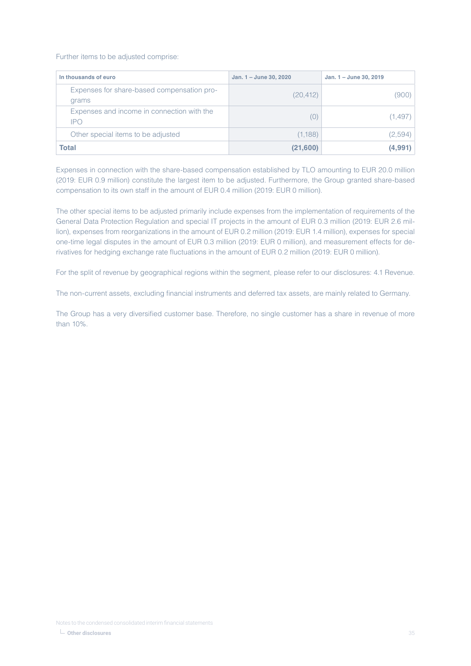Further items to be adjusted comprise:

| In thousands of euro                                     | Jan. 1 - June 30, 2020 | Jan. 1 - June 30, 2019 |
|----------------------------------------------------------|------------------------|------------------------|
| Expenses for share-based compensation pro-<br>grams      | (20, 412)              | (900)                  |
| Expenses and income in connection with the<br><b>IPO</b> | (0)                    | (1,497)                |
| Other special items to be adjusted                       | (1,188)                | (2,594)                |
| Total                                                    | (21,600)               | (4,991)                |

Expenses in connection with the share-based compensation established by TLO amounting to EUR 20.0 million (2019: EUR 0.9 million) constitute the largest item to be adjusted. Furthermore, the Group granted share-based compensation to its own staff in the amount of EUR 0.4 million (2019: EUR 0 million).

The other special items to be adjusted primarily include expenses from the implementation of requirements of the General Data Protection Regulation and special IT projects in the amount of EUR 0.3 million (2019: EUR 2.6 million), expenses from reorganizations in the amount of EUR 0.2 million (2019: EUR 1.4 million), expenses for special one-time legal disputes in the amount of EUR 0.3 million (2019: EUR 0 million), and measurement effects for derivatives for hedging exchange rate fluctuations in the amount of EUR 0.2 million (2019: EUR 0 million).

For the split of revenue by geographical regions within the segment, please refer to our disclosures: 4.1 Revenue.

The non-current assets, excluding financial instruments and deferred tax assets, are mainly related to Germany.

The Group has a very diversified customer base. Therefore, no single customer has a share in revenue of more than 10%.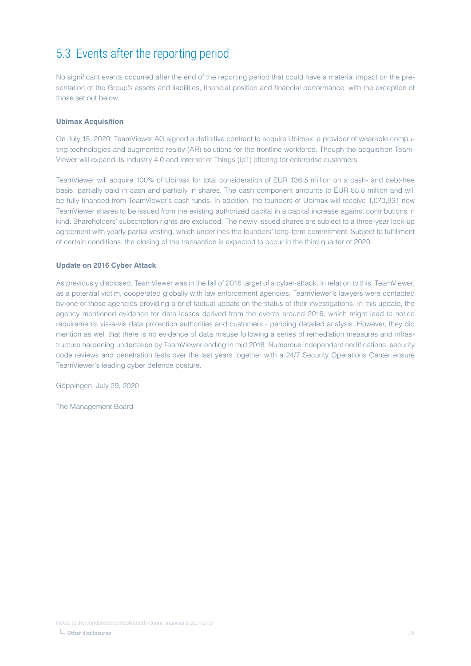## 5.3 Events after the reporting period

No significant events occurred after the end of the reporting period that could have a material impact on the presentation of the Group's assets and liabilities, financial position and financial performance, with the exception of those set out below.

#### **Ubimax Acquisition**

On July 15, 2020, TeamViewer AG signed a definitive contract to acquire Ubimax, a provider of wearable computing technologies and augmented reality (AR) solutions for the frontline workforce. Though the acquisition Team-Viewer will expand its Industry 4.0 and Internet of Things (IoT) offering for enterprise customers.

TeamViewer will acquire 100% of Ubimax for total consideration of EUR 136.5 million on a cash- and debt-free basis, partially paid in cash and partially in shares. The cash component amounts to EUR 85.8 million and will be fully financed from TeamViewer's cash funds. In addition, the founders of Ubimax will receive 1,070,931 new TeamViewer shares to be issued from the existing authorized capital in a capital increase against contributions in kind. Shareholders' subscription rights are excluded. The newly issued shares are subject to a three-year lock-up agreement with yearly partial vesting, which underlines the founders' long-term commitment. Subject to fulfillment of certain conditions, the closing of the transaction is expected to occur in the third quarter of 2020.

### **Update on 2016 Cyber Attack**

As previously disclosed, TeamViewer was in the fall of 2016 target of a cyber-attack. In relation to this, TeamViewer, as a potential victim, cooperated globally with law enforcement agencies. TeamViewer's lawyers were contacted by one of those agencies providing a brief factual update on the status of their investigations. In this update, the agency mentioned evidence for data losses derived from the events around 2016, which might lead to notice requirements vis-à-vis data protection authorities and customers - pending detailed analysis. However, they did mention as well that there is no evidence of data misuse following a series of remediation measures and infrastructure hardening undertaken by TeamViewer ending in mid 2018. Numerous independent certifications, security code reviews and penetration tests over the last years together with a 24/7 Security Operations Center ensure TeamViewer's leading cyber defence posture.

Göppingen, July 29, 2020

The Management Board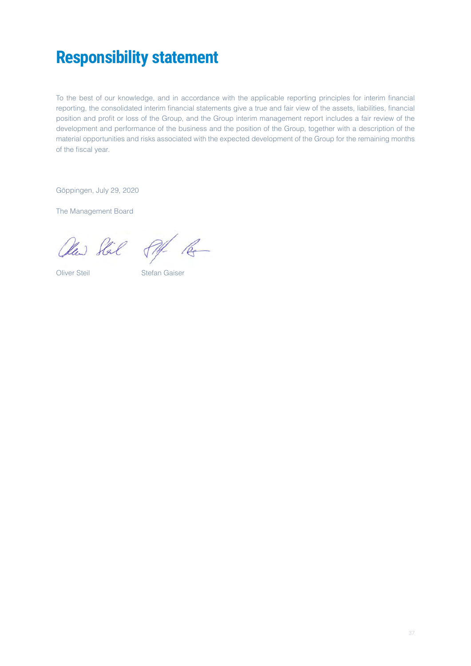# <span id="page-36-0"></span>**Responsibility statement**

To the best of our knowledge, and in accordance with the applicable reporting principles for interim financial reporting, the consolidated interim financial statements give a true and fair view of the assets, liabilities, financial position and profit or loss of the Group, and the Group interim management report includes a fair review of the development and performance of the business and the position of the Group, together with a description of the material opportunities and risks associated with the expected development of the Group for the remaining months of the fiscal year.

Göppingen, July 29, 2020

The Management Board

Our Stil Pf Re

Oliver Steil Stefan Gaiser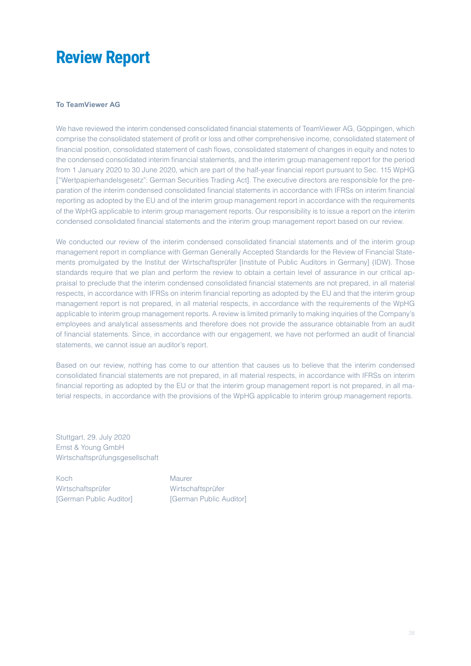# <span id="page-37-0"></span>**Review Report**

### **To TeamViewer AG**

We have reviewed the interim condensed consolidated financial statements of TeamViewer AG, Göppingen, which comprise the consolidated statement of profit or loss and other comprehensive income, consolidated statement of financial position, consolidated statement of cash flows, consolidated statement of changes in equity and notes to the condensed consolidated interim financial statements, and the interim group management report for the period from 1 January 2020 to 30 June 2020, which are part of the half-year financial report pursuant to Sec. 115 WpHG ["Wertpapierhandelsgesetz": German Securities Trading Act]. The executive directors are responsible for the preparation of the interim condensed consolidated financial statements in accordance with IFRSs on interim financial reporting as adopted by the EU and of the interim group management report in accordance with the requirements of the WpHG applicable to interim group management reports. Our responsibility is to issue a report on the interim condensed consolidated financial statements and the interim group management report based on our review.

We conducted our review of the interim condensed consolidated financial statements and of the interim group management report in compliance with German Generally Accepted Standards for the Review of Financial Statements promulgated by the Institut der Wirtschaftsprüfer [Institute of Public Auditors in Germany] (IDW). Those standards require that we plan and perform the review to obtain a certain level of assurance in our critical appraisal to preclude that the interim condensed consolidated financial statements are not prepared, in all material respects, in accordance with IFRSs on interim financial reporting as adopted by the EU and that the interim group management report is not prepared, in all material respects, in accordance with the requirements of the WpHG applicable to interim group management reports. A review is limited primarily to making inquiries of the Company's employees and analytical assessments and therefore does not provide the assurance obtainable from an audit of financial statements. Since, in accordance with our engagement, we have not performed an audit of financial statements, we cannot issue an auditor's report.

Based on our review, nothing has come to our attention that causes us to believe that the interim condensed consolidated financial statements are not prepared, in all material respects, in accordance with IFRSs on interim financial reporting as adopted by the EU or that the interim group management report is not prepared, in all material respects, in accordance with the provisions of the WpHG applicable to interim group management reports.

Stuttgart, 29. July 2020 Ernst & Young GmbH Wirtschaftsprüfungsgesellschaft

Koch Maurer Wirtschaftsprüfer Wirtschaftsprüfer

[German Public Auditor] [German Public Auditor]